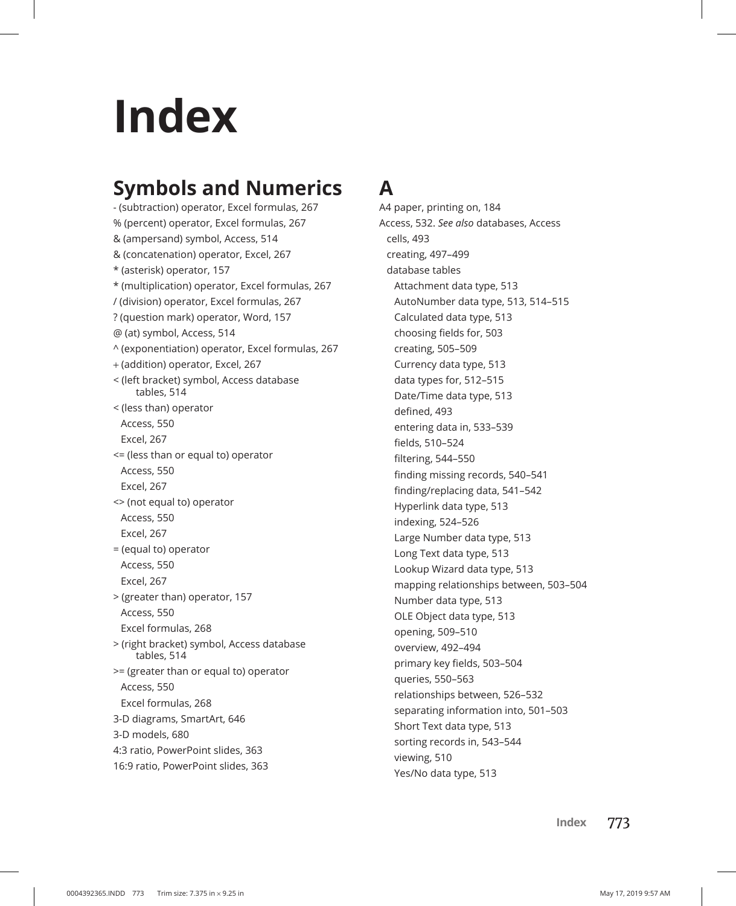# **Index**

# **Symbols and Numerics**

- (subtraction) operator, Excel formulas, 267 % (percent) operator, Excel formulas, 267 & (ampersand) symbol, Access, 514 & (concatenation) operator, Excel, 267 \* (asterisk) operator, 157 \* (multiplication) operator, Excel formulas, 267 / (division) operator, Excel formulas, 267 ? (question mark) operator, Word, 157 @ (at) symbol, Access, 514 ^ (exponentiation) operator, Excel formulas, 267 + (addition) operator, Excel, 267 < (left bracket) symbol, Access database tables, 514 < (less than) operator Access, 550 Excel, 267 <= (less than or equal to) operator Access, 550 Excel, 267 <> (not equal to) operator Access, 550 Excel, 267 = (equal to) operator Access, 550 Excel, 267 > (greater than) operator, 157 Access, 550 Excel formulas, 268 > (right bracket) symbol, Access database tables, 514 >= (greater than or equal to) operator Access, 550 Excel formulas, 268 3-D diagrams, SmartArt, 646 3-D models, 680 4:3 ratio, PowerPoint slides, 363 16:9 ratio, PowerPoint slides, 363

# **A**

A4 paper, printing on, 184 Access, 532. *See also* databases, Access cells, 493 creating, 497–499 database tables Attachment data type, 513 AutoNumber data type, 513, 514–515 Calculated data type, 513 choosing fields for, 503 creating, 505–509 Currency data type, 513 data types for, 512–515 Date/Time data type, 513 defined, 493 entering data in, 533–539 fields, 510–524 filtering, 544–550 finding missing records, 540–541 finding/replacing data, 541–542 Hyperlink data type, 513 indexing, 524–526 Large Number data type, 513 Long Text data type, 513 Lookup Wizard data type, 513 mapping relationships between, 503–504 Number data type, 513 OLE Object data type, 513 opening, 509–510 overview, 492–494 primary key fields, 503–504 queries, 550–563 relationships between, 526–532 separating information into, 501–503 Short Text data type, 513 sorting records in, 543–544 viewing, 510 Yes/No data type, 513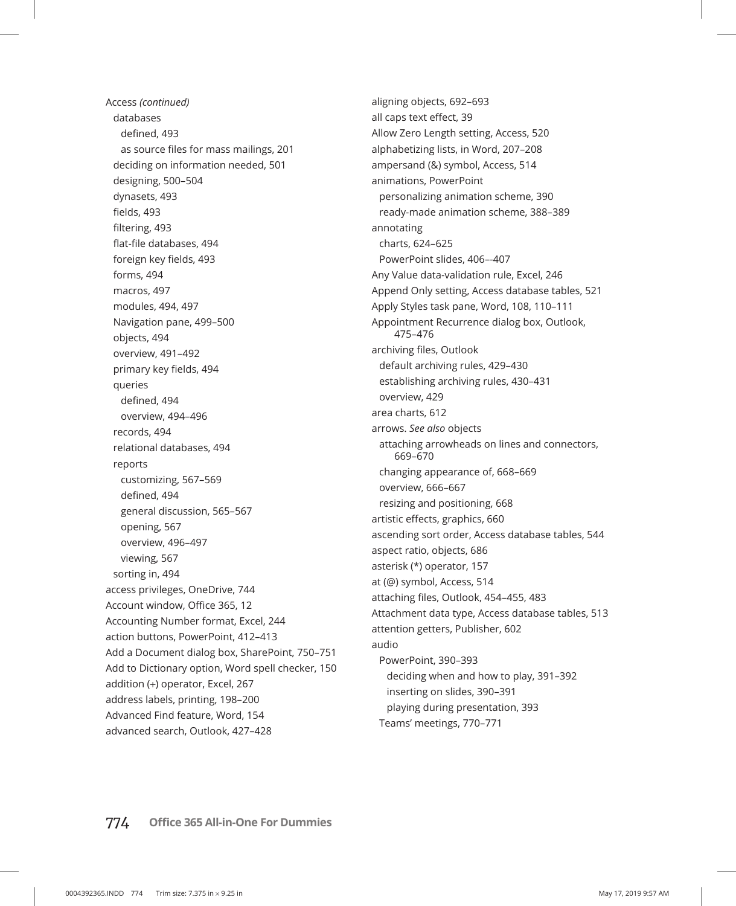Access *(continued)* databases defined, 493 as source files for mass mailings, 201 deciding on information needed, 501 designing, 500–504 dynasets, 493 fields, 493 filtering, 493 flat-file databases, 494 foreign key fields, 493 forms, 494 macros, 497 modules, 494, 497 Navigation pane, 499–500 objects, 494 overview, 491–492 primary key fields, 494 queries defined, 494 overview, 494–496 records, 494 relational databases, 494 reports customizing, 567–569 defined, 494 general discussion, 565–567 opening, 567 overview, 496–497 viewing, 567 sorting in, 494 access privileges, OneDrive, 744 Account window, Office 365, 12 Accounting Number format, Excel, 244 action buttons, PowerPoint, 412–413 Add a Document dialog box, SharePoint, 750–751 Add to Dictionary option, Word spell checker, 150 addition (+) operator, Excel, 267 address labels, printing, 198–200 Advanced Find feature, Word, 154 advanced search, Outlook, 427–428

aligning objects, 692–693 all caps text effect, 39 Allow Zero Length setting, Access, 520 alphabetizing lists, in Word, 207–208 ampersand (&) symbol, Access, 514 animations, PowerPoint personalizing animation scheme, 390 ready-made animation scheme, 388–389 annotating charts, 624–625 PowerPoint slides, 406–-407 Any Value data-validation rule, Excel, 246 Append Only setting, Access database tables, 521 Apply Styles task pane, Word, 108, 110–111 Appointment Recurrence dialog box, Outlook, 475–476 archiving files, Outlook default archiving rules, 429–430 establishing archiving rules, 430–431 overview, 429 area charts, 612 arrows. *See also* objects attaching arrowheads on lines and connectors, 669–670 changing appearance of, 668–669 overview, 666–667 resizing and positioning, 668 artistic effects, graphics, 660 ascending sort order, Access database tables, 544 aspect ratio, objects, 686 asterisk (\*) operator, 157 at (@) symbol, Access, 514 attaching files, Outlook, 454–455, 483 Attachment data type, Access database tables, 513 attention getters, Publisher, 602 audio PowerPoint, 390–393 deciding when and how to play, 391–392 inserting on slides, 390–391 playing during presentation, 393 Teams' meetings, 770–771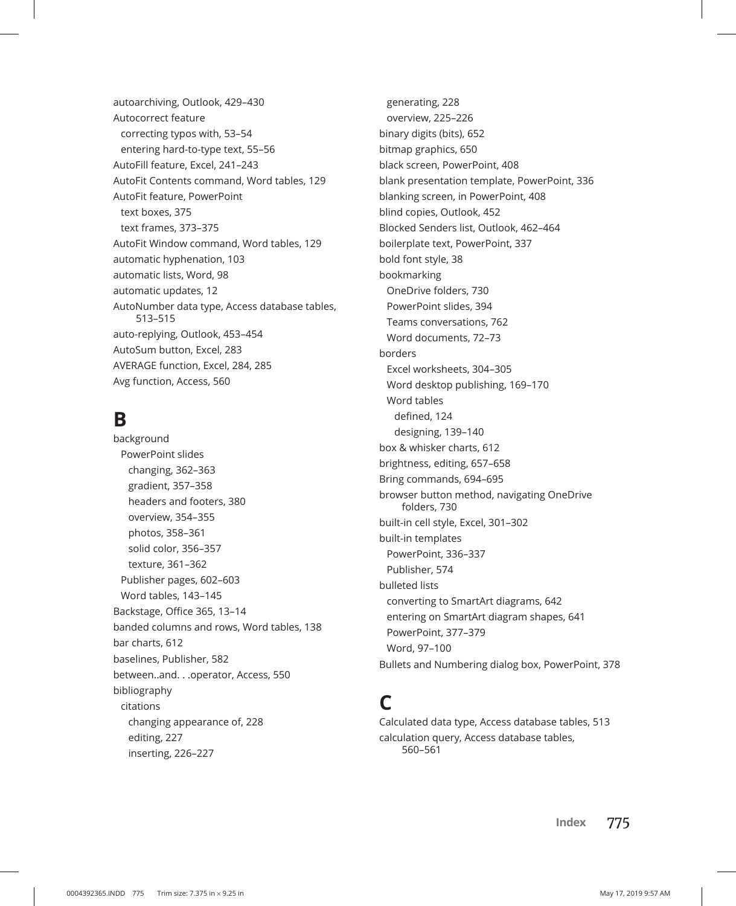autoarchiving, Outlook, 429–430 Autocorrect feature correcting typos with, 53–54 entering hard-to-type text, 55–56 AutoFill feature, Excel, 241–243 AutoFit Contents command, Word tables, 129 AutoFit feature, PowerPoint text boxes, 375 text frames, 373–375 AutoFit Window command, Word tables, 129 automatic hyphenation, 103 automatic lists, Word, 98 automatic updates, 12 AutoNumber data type, Access database tables, 513–515 auto-replying, Outlook, 453–454 AutoSum button, Excel, 283 AVERAGE function, Excel, 284, 285 Avg function, Access, 560

### **B**

background PowerPoint slides changing, 362–363 gradient, 357–358 headers and footers, 380 overview, 354–355 photos, 358–361 solid color, 356–357 texture, 361–362 Publisher pages, 602–603 Word tables, 143–145 Backstage, Office 365, 13–14 banded columns and rows, Word tables, 138 bar charts, 612 baselines, Publisher, 582 between..and. . .operator, Access, 550 bibliography citations changing appearance of, 228 editing, 227 inserting, 226–227

generating, 228 overview, 225–226 binary digits (bits), 652 bitmap graphics, 650 black screen, PowerPoint, 408 blank presentation template, PowerPoint, 336 blanking screen, in PowerPoint, 408 blind copies, Outlook, 452 Blocked Senders list, Outlook, 462–464 boilerplate text, PowerPoint, 337 bold font style, 38 bookmarking OneDrive folders, 730 PowerPoint slides, 394 Teams conversations, 762 Word documents, 72–73 borders Excel worksheets, 304–305 Word desktop publishing, 169–170 Word tables defined, 124 designing, 139–140 box & whisker charts, 612 brightness, editing, 657–658 Bring commands, 694–695 browser button method, navigating OneDrive folders, 730 built-in cell style, Excel, 301–302 built-in templates PowerPoint, 336–337 Publisher, 574 bulleted lists converting to SmartArt diagrams, 642 entering on SmartArt diagram shapes, 641 PowerPoint, 377–379 Word, 97–100 Bullets and Numbering dialog box, PowerPoint, 378

# **C**

Calculated data type, Access database tables, 513 calculation query, Access database tables, 560–561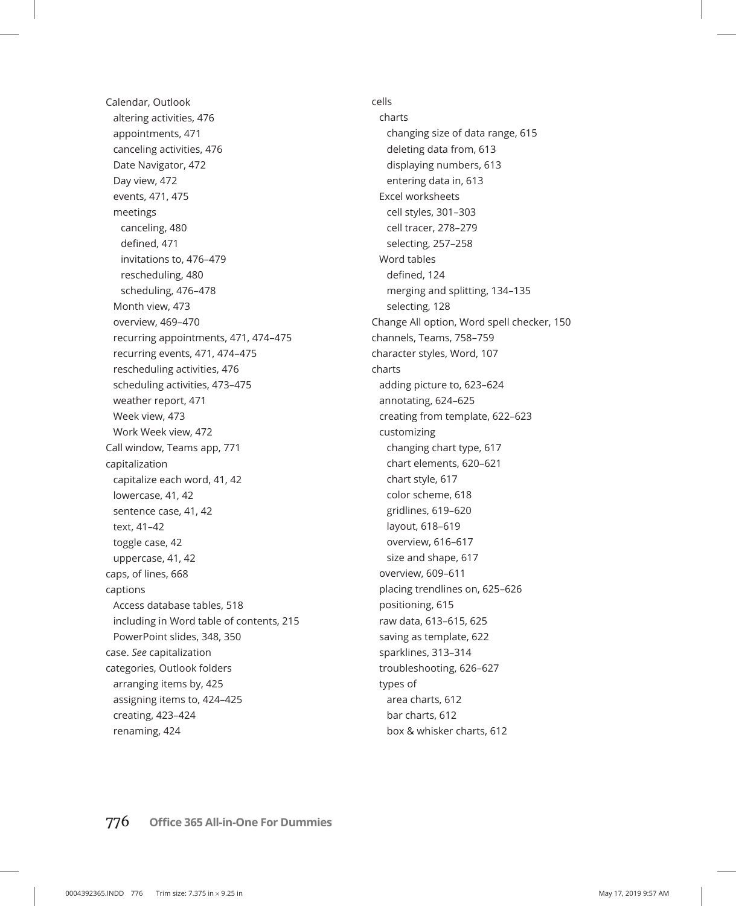Calendar, Outlook altering activities, 476 appointments, 471 canceling activities, 476 Date Navigator, 472 Day view, 472 events, 471, 475 meetings canceling, 480 defined, 471 invitations to, 476–479 rescheduling, 480 scheduling, 476–478 Month view, 473 overview, 469–470 recurring appointments, 471, 474–475 recurring events, 471, 474–475 rescheduling activities, 476 scheduling activities, 473–475 weather report, 471 Week view, 473 Work Week view, 472 Call window, Teams app, 771 capitalization capitalize each word, 41, 42 lowercase, 41, 42 sentence case, 41, 42 text, 41–42 toggle case, 42 uppercase, 41, 42 caps, of lines, 668 captions Access database tables, 518 including in Word table of contents, 215 PowerPoint slides, 348, 350 case. *See* capitalization categories, Outlook folders arranging items by, 425 assigning items to, 424–425 creating, 423–424 renaming, 424

cells charts changing size of data range, 615 deleting data from, 613 displaying numbers, 613 entering data in, 613 Excel worksheets cell styles, 301–303 cell tracer, 278–279 selecting, 257–258 Word tables defined, 124 merging and splitting, 134–135 selecting, 128 Change All option, Word spell checker, 150 channels, Teams, 758–759 character styles, Word, 107 charts adding picture to, 623–624 annotating, 624–625 creating from template, 622–623 customizing changing chart type, 617 chart elements, 620–621 chart style, 617 color scheme, 618 gridlines, 619–620 layout, 618–619 overview, 616–617 size and shape, 617 overview, 609–611 placing trendlines on, 625–626 positioning, 615 raw data, 613–615, 625 saving as template, 622 sparklines, 313–314 troubleshooting, 626–627 types of area charts, 612 bar charts, 612 box & whisker charts, 612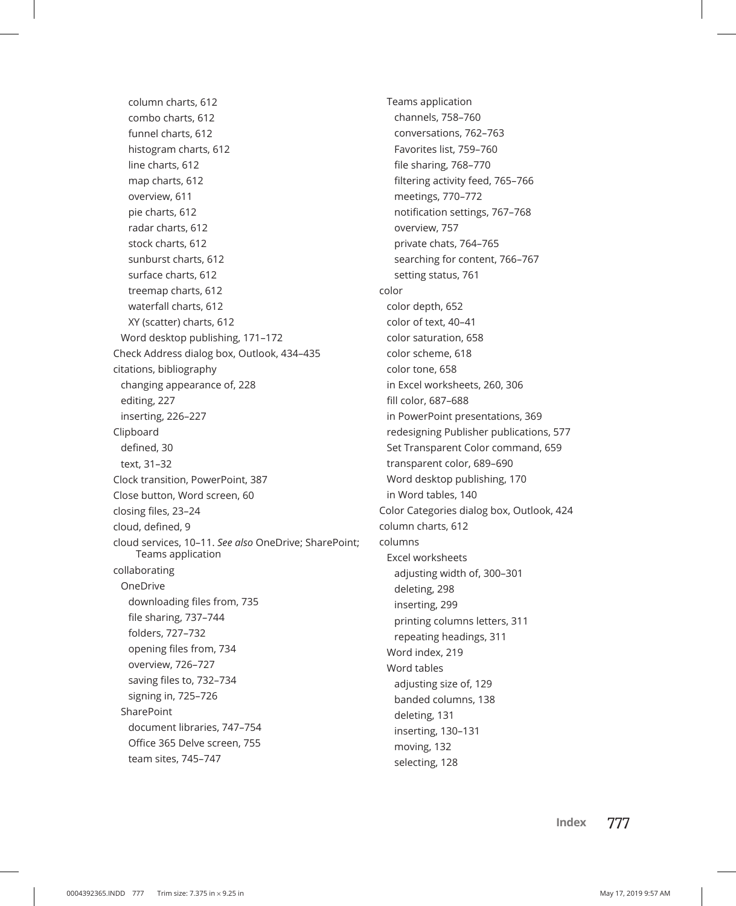column charts, 612 combo charts, 612 funnel charts, 612 histogram charts, 612 line charts, 612 map charts, 612 overview, 611 pie charts, 612 radar charts, 612 stock charts, 612 sunburst charts, 612 surface charts, 612 treemap charts, 612 waterfall charts, 612 XY (scatter) charts, 612 Word desktop publishing, 171–172 Check Address dialog box, Outlook, 434–435 citations, bibliography changing appearance of, 228 editing, 227 inserting, 226–227 Clipboard defined, 30 text, 31–32 Clock transition, PowerPoint, 387 Close button, Word screen, 60 closing files, 23–24 cloud, defined, 9 cloud services, 10–11. *See also* OneDrive; SharePoint; Teams application collaborating OneDrive downloading files from, 735 file sharing, 737–744 folders, 727–732 opening files from, 734 overview, 726–727 saving files to, 732–734 signing in, 725–726 **SharePoint** document libraries, 747–754 Office 365 Delve screen, 755 team sites, 745–747

Teams application channels, 758–760 conversations, 762–763 Favorites list, 759–760 file sharing, 768–770 filtering activity feed, 765–766 meetings, 770–772 notification settings, 767–768 overview, 757 private chats, 764–765 searching for content, 766–767 setting status, 761 color color depth, 652 color of text, 40–41 color saturation, 658 color scheme, 618 color tone, 658 in Excel worksheets, 260, 306 fill color, 687–688 in PowerPoint presentations, 369 redesigning Publisher publications, 577 Set Transparent Color command, 659 transparent color, 689–690 Word desktop publishing, 170 in Word tables, 140 Color Categories dialog box, Outlook, 424 column charts, 612 columns Excel worksheets adjusting width of, 300–301 deleting, 298 inserting, 299 printing columns letters, 311 repeating headings, 311 Word index, 219 Word tables adjusting size of, 129 banded columns, 138 deleting, 131 inserting, 130–131 moving, 132 selecting, 128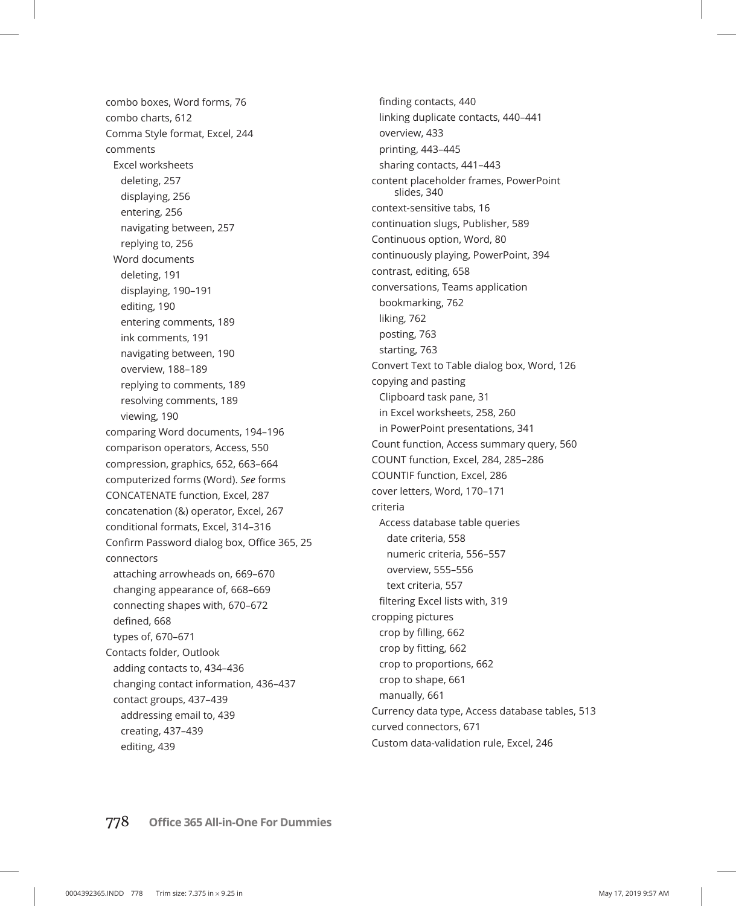combo boxes, Word forms, 76 combo charts, 612 Comma Style format, Excel, 244 comments Excel worksheets deleting, 257 displaying, 256 entering, 256 navigating between, 257 replying to, 256 Word documents deleting, 191 displaying, 190–191 editing, 190 entering comments, 189 ink comments, 191 navigating between, 190 overview, 188–189 replying to comments, 189 resolving comments, 189 viewing, 190 comparing Word documents, 194–196 comparison operators, Access, 550 compression, graphics, 652, 663–664 computerized forms (Word). *See* forms CONCATENATE function, Excel, 287 concatenation (&) operator, Excel, 267 conditional formats, Excel, 314–316 Confirm Password dialog box, Office 365, 25 connectors attaching arrowheads on, 669–670 changing appearance of, 668–669 connecting shapes with, 670–672 defined, 668 types of, 670–671 Contacts folder, Outlook adding contacts to, 434–436 changing contact information, 436–437 contact groups, 437–439 addressing email to, 439 creating, 437–439 editing, 439

finding contacts, 440 linking duplicate contacts, 440–441 overview, 433 printing, 443–445 sharing contacts, 441–443 content placeholder frames, PowerPoint slides, 340 context-sensitive tabs, 16 continuation slugs, Publisher, 589 Continuous option, Word, 80 continuously playing, PowerPoint, 394 contrast, editing, 658 conversations, Teams application bookmarking, 762 liking, 762 posting, 763 starting, 763 Convert Text to Table dialog box, Word, 126 copying and pasting Clipboard task pane, 31 in Excel worksheets, 258, 260 in PowerPoint presentations, 341 Count function, Access summary query, 560 COUNT function, Excel, 284, 285–286 COUNTIF function, Excel, 286 cover letters, Word, 170–171 criteria Access database table queries date criteria, 558 numeric criteria, 556–557 overview, 555–556 text criteria, 557 filtering Excel lists with, 319 cropping pictures crop by filling, 662 crop by fitting, 662 crop to proportions, 662 crop to shape, 661 manually, 661 Currency data type, Access database tables, 513 curved connectors, 671 Custom data-validation rule, Excel, 246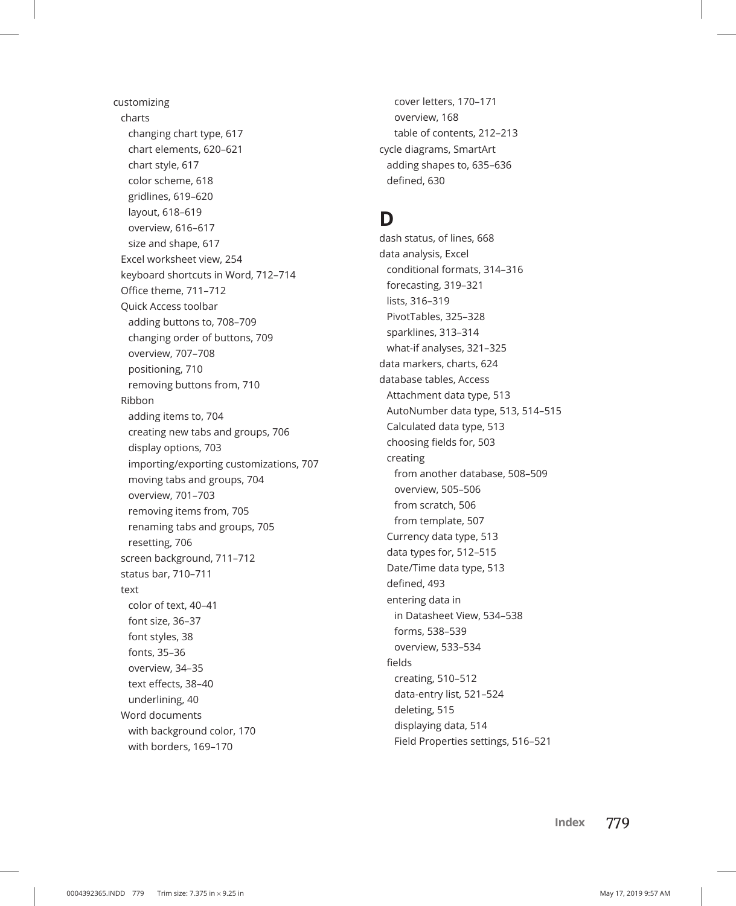customizing charts changing chart type, 617 chart elements, 620–621 chart style, 617 color scheme, 618 gridlines, 619–620 layout, 618–619 overview, 616–617 size and shape, 617 Excel worksheet view, 254 keyboard shortcuts in Word, 712–714 Office theme, 711–712 Quick Access toolbar adding buttons to, 708–709 changing order of buttons, 709 overview, 707–708 positioning, 710 removing buttons from, 710 Ribbon adding items to, 704 creating new tabs and groups, 706 display options, 703 importing/exporting customizations, 707 moving tabs and groups, 704 overview, 701–703 removing items from, 705 renaming tabs and groups, 705 resetting, 706 screen background, 711–712 status bar, 710–711 text color of text, 40–41 font size, 36–37 font styles, 38 fonts, 35–36 overview, 34–35 text effects, 38–40 underlining, 40 Word documents with background color, 170 with borders, 169–170

cover letters, 170–171 overview, 168 table of contents, 212–213 cycle diagrams, SmartArt adding shapes to, 635–636 defined, 630

### **D**

dash status, of lines, 668 data analysis, Excel conditional formats, 314–316 forecasting, 319–321 lists, 316–319 PivotTables, 325–328 sparklines, 313–314 what-if analyses, 321–325 data markers, charts, 624 database tables, Access Attachment data type, 513 AutoNumber data type, 513, 514–515 Calculated data type, 513 choosing fields for, 503 creating from another database, 508–509 overview, 505–506 from scratch, 506 from template, 507 Currency data type, 513 data types for, 512–515 Date/Time data type, 513 defined, 493 entering data in in Datasheet View, 534–538 forms, 538–539 overview, 533–534 fields creating, 510–512 data-entry list, 521–524 deleting, 515 displaying data, 514 Field Properties settings, 516–521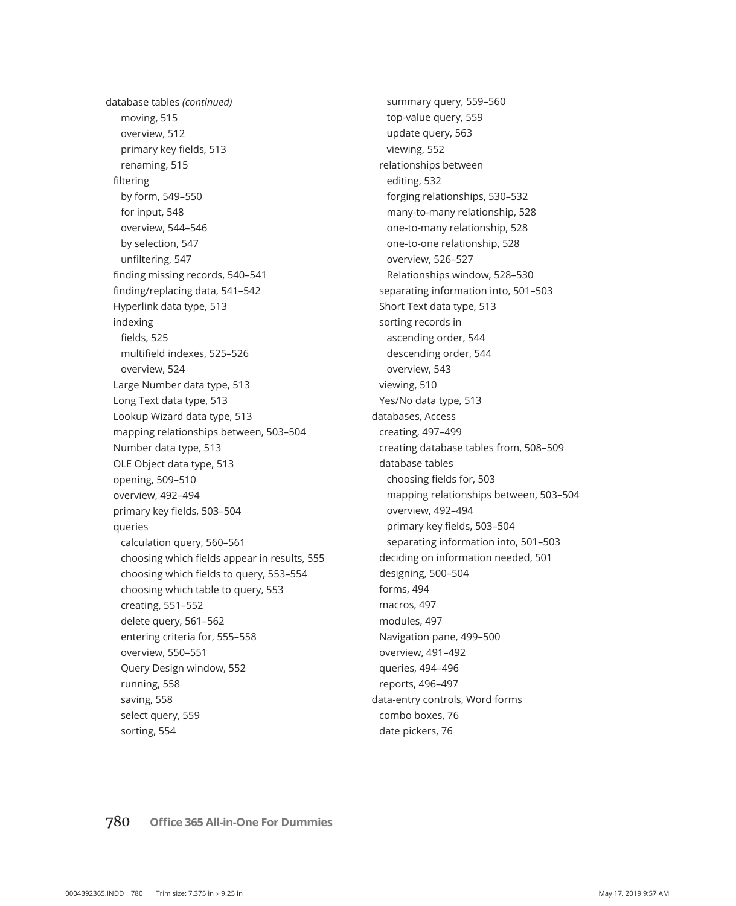database tables *(continued)* moving, 515 overview, 512 primary key fields, 513 renaming, 515 filtering by form, 549–550 for input, 548 overview, 544–546 by selection, 547 unfiltering, 547 finding missing records, 540–541 finding/replacing data, 541–542 Hyperlink data type, 513 indexing fields, 525 multifield indexes, 525–526 overview, 524 Large Number data type, 513 Long Text data type, 513 Lookup Wizard data type, 513 mapping relationships between, 503–504 Number data type, 513 OLE Object data type, 513 opening, 509–510 overview, 492–494 primary key fields, 503–504 queries calculation query, 560–561 choosing which fields appear in results, 555 choosing which fields to query, 553–554 choosing which table to query, 553 creating, 551–552 delete query, 561–562 entering criteria for, 555–558 overview, 550–551 Query Design window, 552 running, 558 saving, 558 select query, 559 sorting, 554

summary query, 559–560 top-value query, 559 update query, 563 viewing, 552 relationships between editing, 532 forging relationships, 530–532 many-to-many relationship, 528 one-to-many relationship, 528 one-to-one relationship, 528 overview, 526–527 Relationships window, 528–530 separating information into, 501–503 Short Text data type, 513 sorting records in ascending order, 544 descending order, 544 overview, 543 viewing, 510 Yes/No data type, 513 databases, Access creating, 497–499 creating database tables from, 508–509 database tables choosing fields for, 503 mapping relationships between, 503–504 overview, 492–494 primary key fields, 503–504 separating information into, 501–503 deciding on information needed, 501 designing, 500–504 forms, 494 macros, 497 modules, 497 Navigation pane, 499–500 overview, 491–492 queries, 494–496 reports, 496–497 data-entry controls, Word forms combo boxes, 76 date pickers, 76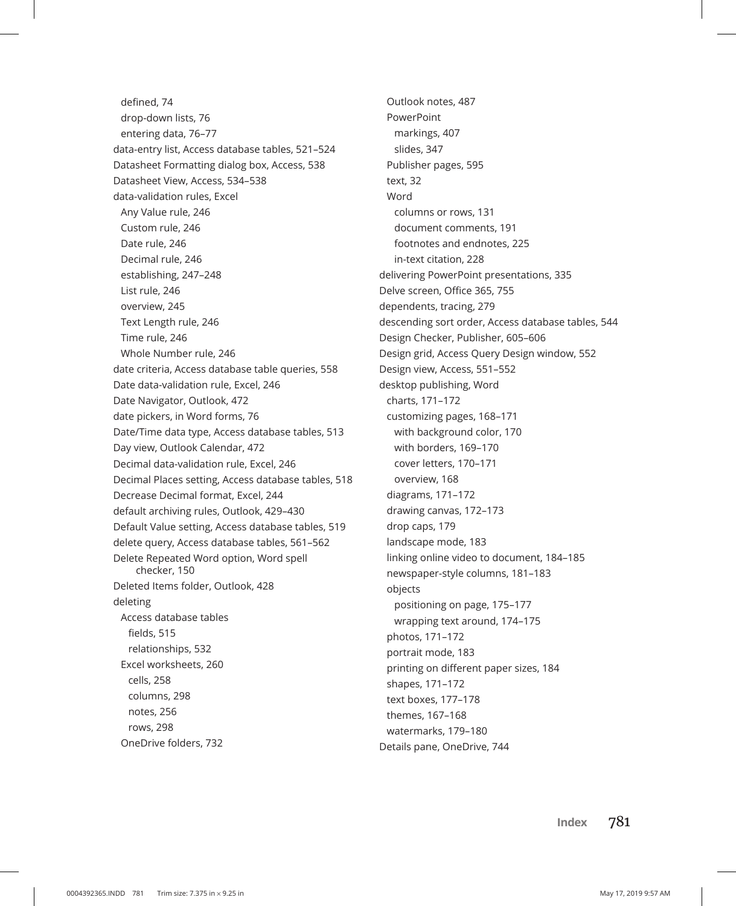defined, 74 drop-down lists, 76 entering data, 76–77 data-entry list, Access database tables, 521–524 Datasheet Formatting dialog box, Access, 538 Datasheet View, Access, 534–538 data-validation rules, Excel Any Value rule, 246 Custom rule, 246 Date rule, 246 Decimal rule, 246 establishing, 247–248 List rule, 246 overview, 245 Text Length rule, 246 Time rule, 246 Whole Number rule, 246 date criteria, Access database table queries, 558 Date data-validation rule, Excel, 246 Date Navigator, Outlook, 472 date pickers, in Word forms, 76 Date/Time data type, Access database tables, 513 Day view, Outlook Calendar, 472 Decimal data-validation rule, Excel, 246 Decimal Places setting, Access database tables, 518 Decrease Decimal format, Excel, 244 default archiving rules, Outlook, 429–430 Default Value setting, Access database tables, 519 delete query, Access database tables, 561–562 Delete Repeated Word option, Word spell checker, 150 Deleted Items folder, Outlook, 428 deleting Access database tables fields, 515 relationships, 532 Excel worksheets, 260 cells, 258 columns, 298 notes, 256 rows, 298 OneDrive folders, 732

Outlook notes, 487 PowerPoint markings, 407 slides, 347 Publisher pages, 595 text, 32 Word columns or rows, 131 document comments, 191 footnotes and endnotes, 225 in-text citation, 228 delivering PowerPoint presentations, 335 Delve screen, Office 365, 755 dependents, tracing, 279 descending sort order, Access database tables, 544 Design Checker, Publisher, 605–606 Design grid, Access Query Design window, 552 Design view, Access, 551–552 desktop publishing, Word charts, 171–172 customizing pages, 168–171 with background color, 170 with borders, 169–170 cover letters, 170–171 overview, 168 diagrams, 171–172 drawing canvas, 172–173 drop caps, 179 landscape mode, 183 linking online video to document, 184–185 newspaper-style columns, 181–183 objects positioning on page, 175–177 wrapping text around, 174–175 photos, 171–172 portrait mode, 183 printing on different paper sizes, 184 shapes, 171–172 text boxes, 177–178 themes, 167–168 watermarks, 179–180 Details pane, OneDrive, 744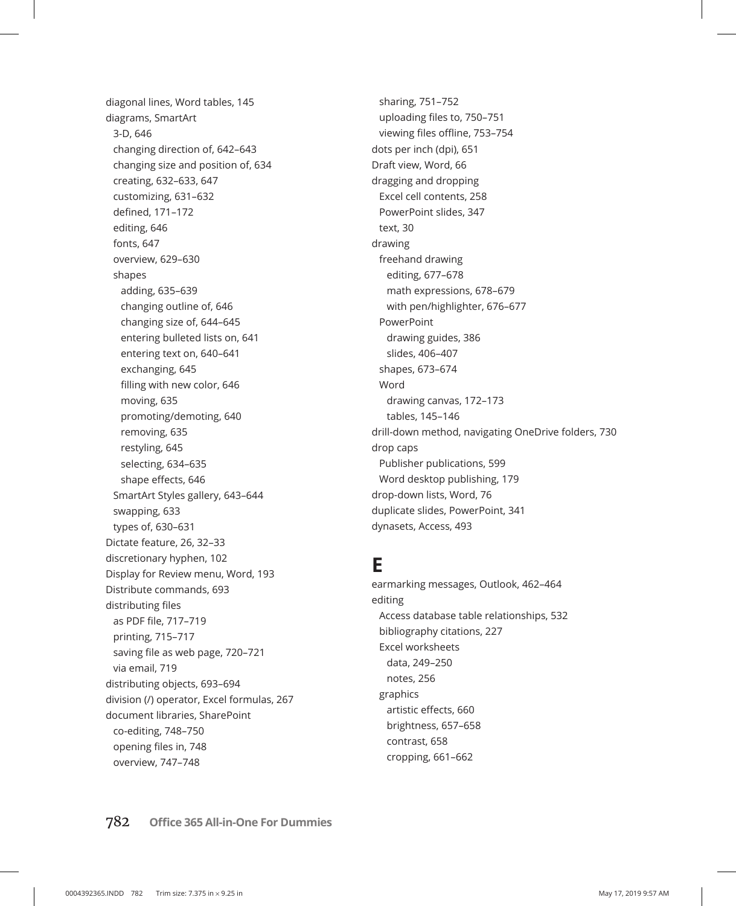diagonal lines, Word tables, 145 diagrams, SmartArt 3-D, 646 changing direction of, 642–643 changing size and position of, 634 creating, 632–633, 647 customizing, 631–632 defined, 171–172 editing, 646 fonts, 647 overview, 629–630 shapes adding, 635–639 changing outline of, 646 changing size of, 644–645 entering bulleted lists on, 641 entering text on, 640–641 exchanging, 645 filling with new color, 646 moving, 635 promoting/demoting, 640 removing, 635 restyling, 645 selecting, 634–635 shape effects, 646 SmartArt Styles gallery, 643–644 swapping, 633 types of, 630–631 Dictate feature, 26, 32–33 discretionary hyphen, 102 Display for Review menu, Word, 193 Distribute commands, 693 distributing files as PDF file, 717–719 printing, 715–717 saving file as web page, 720–721 via email, 719 distributing objects, 693–694 division (/) operator, Excel formulas, 267 document libraries, SharePoint co-editing, 748–750 opening files in, 748 overview, 747–748

sharing, 751–752 uploading files to, 750–751 viewing files offline, 753–754 dots per inch (dpi), 651 Draft view, Word, 66 dragging and dropping Excel cell contents, 258 PowerPoint slides, 347 text, 30 drawing freehand drawing editing, 677–678 math expressions, 678–679 with pen/highlighter, 676–677 PowerPoint drawing guides, 386 slides, 406–407 shapes, 673–674 Word drawing canvas, 172–173 tables, 145–146 drill-down method, navigating OneDrive folders, 730 drop caps Publisher publications, 599 Word desktop publishing, 179 drop-down lists, Word, 76 duplicate slides, PowerPoint, 341 dynasets, Access, 493

### **E**

earmarking messages, Outlook, 462–464 editing Access database table relationships, 532 bibliography citations, 227 Excel worksheets data, 249–250 notes, 256 graphics artistic effects, 660 brightness, 657–658 contrast, 658 cropping, 661–662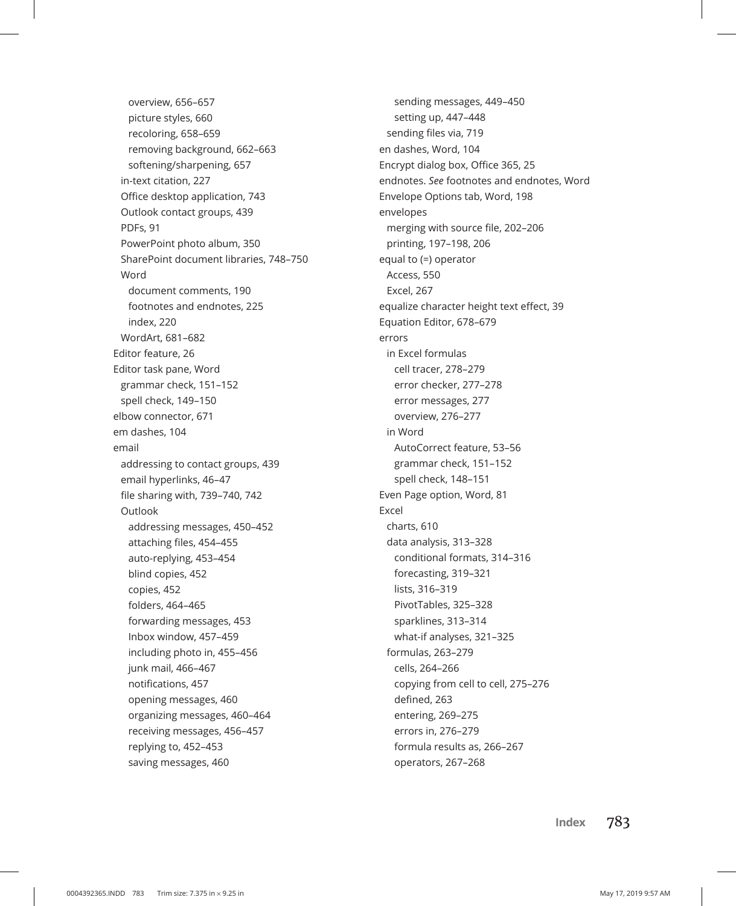overview, 656–657 picture styles, 660 recoloring, 658–659 removing background, 662–663 softening/sharpening, 657 in-text citation, 227 Office desktop application, 743 Outlook contact groups, 439 PDFs, 91 PowerPoint photo album, 350 SharePoint document libraries, 748–750 Word document comments, 190 footnotes and endnotes, 225 index, 220 WordArt, 681–682 Editor feature, 26 Editor task pane, Word grammar check, 151–152 spell check, 149–150 elbow connector, 671 em dashes, 104 email addressing to contact groups, 439 email hyperlinks, 46–47 file sharing with, 739–740, 742 Outlook addressing messages, 450–452 attaching files, 454–455 auto-replying, 453–454 blind copies, 452 copies, 452 folders, 464–465 forwarding messages, 453 Inbox window, 457–459 including photo in, 455–456 junk mail, 466–467 notifications, 457 opening messages, 460 organizing messages, 460–464 receiving messages, 456–457 replying to, 452–453 saving messages, 460

sending messages, 449–450 setting up, 447–448 sending files via, 719 en dashes, Word, 104 Encrypt dialog box, Office 365, 25 endnotes. *See* footnotes and endnotes, Word Envelope Options tab, Word, 198 envelopes merging with source file, 202–206 printing, 197–198, 206 equal to (=) operator Access, 550 Excel, 267 equalize character height text effect, 39 Equation Editor, 678–679 errors in Excel formulas cell tracer, 278–279 error checker, 277–278 error messages, 277 overview, 276–277 in Word AutoCorrect feature, 53–56 grammar check, 151–152 spell check, 148–151 Even Page option, Word, 81 Excel charts, 610 data analysis, 313–328 conditional formats, 314–316 forecasting, 319–321 lists, 316–319 PivotTables, 325–328 sparklines, 313–314 what-if analyses, 321–325 formulas, 263–279 cells, 264–266 copying from cell to cell, 275–276 defined, 263 entering, 269–275 errors in, 276–279 formula results as, 266–267 operators, 267–268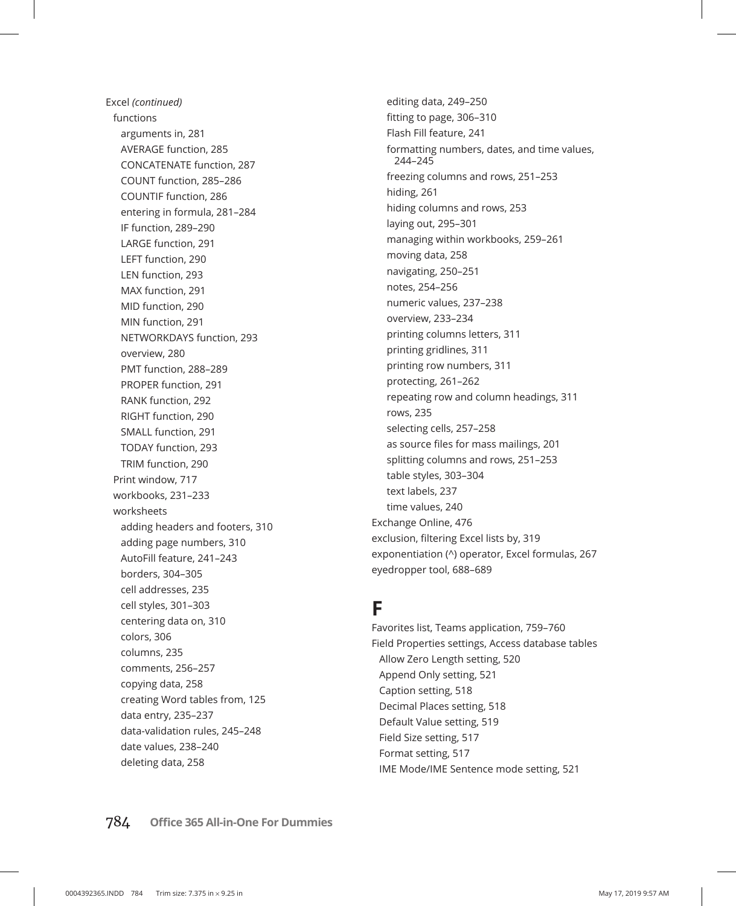Excel *(continued)* functions arguments in, 281 AVERAGE function, 285 CONCATENATE function, 287 COUNT function, 285–286 COUNTIF function, 286 entering in formula, 281–284 IF function, 289–290 LARGE function, 291 LEFT function, 290 LEN function, 293 MAX function, 291 MID function, 290 MIN function, 291 NETWORKDAYS function, 293 overview, 280 PMT function, 288–289 PROPER function, 291 RANK function, 292 RIGHT function, 290 SMALL function, 291 TODAY function, 293 TRIM function, 290 Print window, 717 workbooks, 231–233 worksheets adding headers and footers, 310 adding page numbers, 310 AutoFill feature, 241–243 borders, 304–305 cell addresses, 235 cell styles, 301–303 centering data on, 310 colors, 306 columns, 235 comments, 256–257 copying data, 258 creating Word tables from, 125 data entry, 235–237 data-validation rules, 245–248 date values, 238–240 deleting data, 258

editing data, 249–250 fitting to page, 306–310 Flash Fill feature, 241 formatting numbers, dates, and time values, 244–245 freezing columns and rows, 251–253 hiding, 261 hiding columns and rows, 253 laying out, 295–301 managing within workbooks, 259–261 moving data, 258 navigating, 250–251 notes, 254–256 numeric values, 237–238 overview, 233–234 printing columns letters, 311 printing gridlines, 311 printing row numbers, 311 protecting, 261–262 repeating row and column headings, 311 rows, 235 selecting cells, 257–258 as source files for mass mailings, 201 splitting columns and rows, 251–253 table styles, 303–304 text labels, 237 time values, 240 Exchange Online, 476 exclusion, filtering Excel lists by, 319 exponentiation (^) operator, Excel formulas, 267 eyedropper tool, 688–689

### **F**

Favorites list, Teams application, 759–760 Field Properties settings, Access database tables Allow Zero Length setting, 520 Append Only setting, 521 Caption setting, 518 Decimal Places setting, 518 Default Value setting, 519 Field Size setting, 517 Format setting, 517 IME Mode/IME Sentence mode setting, 521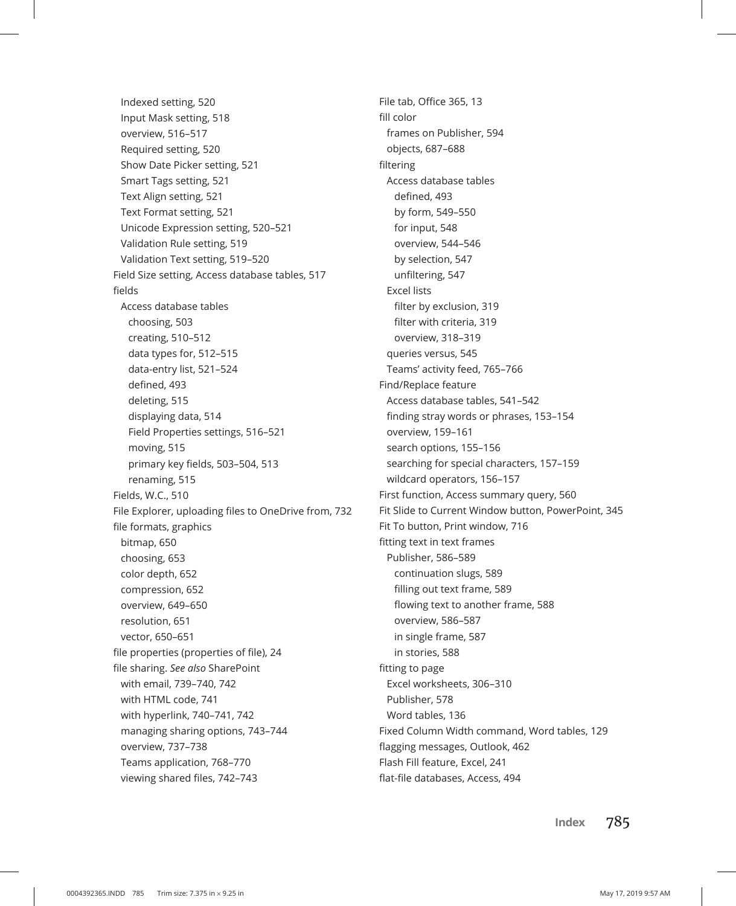Indexed setting, 520 Input Mask setting, 518 overview, 516–517 Required setting, 520 Show Date Picker setting, 521 Smart Tags setting, 521 Text Align setting, 521 Text Format setting, 521 Unicode Expression setting, 520–521 Validation Rule setting, 519 Validation Text setting, 519–520 Field Size setting, Access database tables, 517 fields Access database tables choosing, 503 creating, 510–512 data types for, 512–515 data-entry list, 521–524 defined, 493 deleting, 515 displaying data, 514 Field Properties settings, 516–521 moving, 515 primary key fields, 503–504, 513 renaming, 515 Fields, W.C., 510 File Explorer, uploading files to OneDrive from, 732 file formats, graphics bitmap, 650 choosing, 653 color depth, 652 compression, 652 overview, 649–650 resolution, 651 vector, 650–651 file properties (properties of file), 24 file sharing. *See also* SharePoint with email, 739–740, 742 with HTML code, 741 with hyperlink, 740–741, 742 managing sharing options, 743–744 overview, 737–738 Teams application, 768–770 viewing shared files, 742–743

File tab, Office 365, 13 fill color frames on Publisher, 594 objects, 687–688 filtering Access database tables defined, 493 by form, 549–550 for input, 548 overview, 544–546 by selection, 547 unfiltering, 547 Excel lists filter by exclusion, 319 filter with criteria, 319 overview, 318–319 queries versus, 545 Teams' activity feed, 765–766 Find/Replace feature Access database tables, 541–542 finding stray words or phrases, 153–154 overview, 159–161 search options, 155–156 searching for special characters, 157–159 wildcard operators, 156–157 First function, Access summary query, 560 Fit Slide to Current Window button, PowerPoint, 345 Fit To button, Print window, 716 fitting text in text frames Publisher, 586–589 continuation slugs, 589 filling out text frame, 589 flowing text to another frame, 588 overview, 586–587 in single frame, 587 in stories, 588 fitting to page Excel worksheets, 306–310 Publisher, 578 Word tables, 136 Fixed Column Width command, Word tables, 129 flagging messages, Outlook, 462 Flash Fill feature, Excel, 241 flat-file databases, Access, 494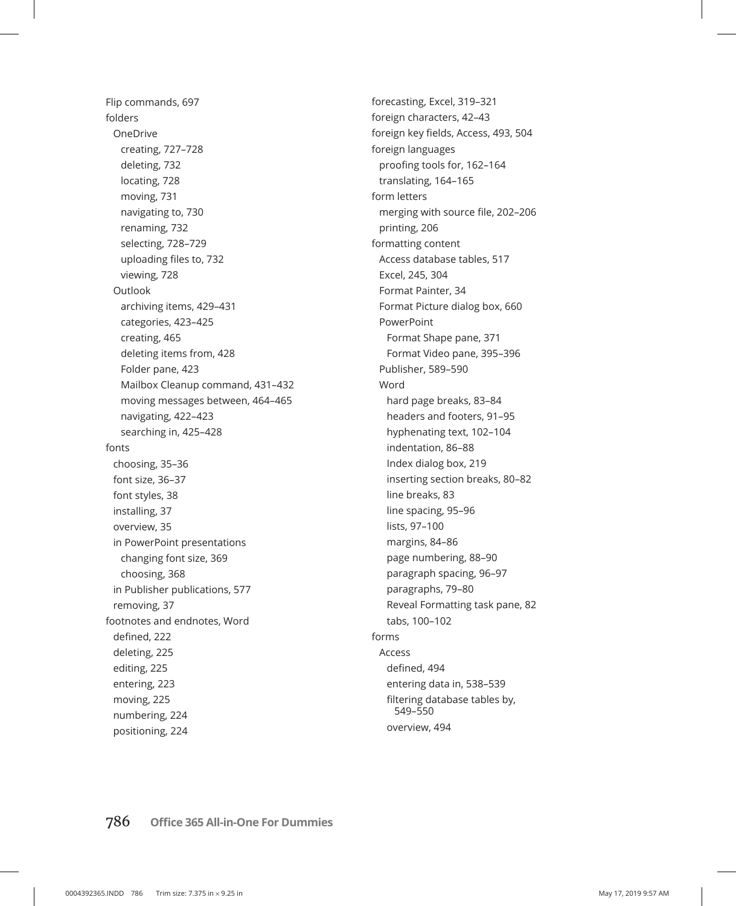Flip commands, 697 folders OneDrive creating, 727–728 deleting, 732 locating, 728 moving, 731 navigating to, 730 renaming, 732 selecting, 728–729 uploading files to, 732 viewing, 728 **Outlook** archiving items, 429–431 categories, 423–425 creating, 465 deleting items from, 428 Folder pane, 423 Mailbox Cleanup command, 431–432 moving messages between, 464–465 navigating, 422–423 searching in, 425–428 fonts choosing, 35–36 font size, 36–37 font styles, 38 installing, 37 overview, 35 in PowerPoint presentations changing font size, 369 choosing, 368 in Publisher publications, 577 removing, 37 footnotes and endnotes, Word defined, 222 deleting, 225 editing, 225 entering, 223 moving, 225 numbering, 224 positioning, 224

forecasting, Excel, 319–321 foreign characters, 42–43 foreign key fields, Access, 493, 504 foreign languages proofing tools for, 162–164 translating, 164–165 form letters merging with source file, 202–206 printing, 206 formatting content Access database tables, 517 Excel, 245, 304 Format Painter, 34 Format Picture dialog box, 660 PowerPoint Format Shape pane, 371 Format Video pane, 395–396 Publisher, 589–590 Word hard page breaks, 83–84 headers and footers, 91–95 hyphenating text, 102–104 indentation, 86–88 Index dialog box, 219 inserting section breaks, 80–82 line breaks, 83 line spacing, 95–96 lists, 97–100 margins, 84–86 page numbering, 88–90 paragraph spacing, 96–97 paragraphs, 79–80 Reveal Formatting task pane, 82 tabs, 100–102 forms Access defined, 494 entering data in, 538–539 filtering database tables by, 549–550 overview, 494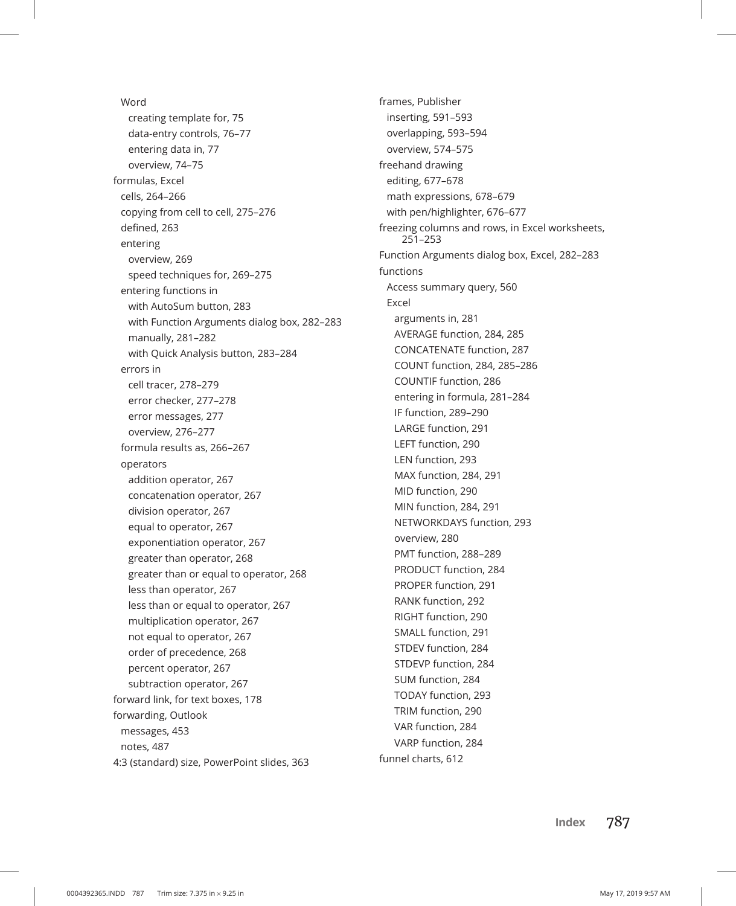Word creating template for, 75 data-entry controls, 76–77 entering data in, 77 overview, 74–75 formulas, Excel cells, 264–266 copying from cell to cell, 275–276 defined, 263 entering overview, 269 speed techniques for, 269–275 entering functions in with AutoSum button, 283 with Function Arguments dialog box, 282–283 manually, 281–282 with Quick Analysis button, 283–284 errors in cell tracer, 278–279 error checker, 277–278 error messages, 277 overview, 276–277 formula results as, 266–267 operators addition operator, 267 concatenation operator, 267 division operator, 267 equal to operator, 267 exponentiation operator, 267 greater than operator, 268 greater than or equal to operator, 268 less than operator, 267 less than or equal to operator, 267 multiplication operator, 267 not equal to operator, 267 order of precedence, 268 percent operator, 267 subtraction operator, 267 forward link, for text boxes, 178 forwarding, Outlook messages, 453 notes, 487 4:3 (standard) size, PowerPoint slides, 363

frames, Publisher inserting, 591–593 overlapping, 593–594 overview, 574–575 freehand drawing editing, 677–678 math expressions, 678–679 with pen/highlighter, 676–677 freezing columns and rows, in Excel worksheets, 251–253 Function Arguments dialog box, Excel, 282–283 functions Access summary query, 560 Excel arguments in, 281 AVERAGE function, 284, 285 CONCATENATE function, 287 COUNT function, 284, 285–286 COUNTIF function, 286 entering in formula, 281–284 IF function, 289–290 LARGE function, 291 LEFT function, 290 LEN function, 293 MAX function, 284, 291 MID function, 290 MIN function, 284, 291 NETWORKDAYS function, 293 overview, 280 PMT function, 288–289 PRODUCT function, 284 PROPER function, 291 RANK function, 292 RIGHT function, 290 SMALL function, 291 STDEV function, 284 STDEVP function, 284 SUM function, 284 TODAY function, 293 TRIM function, 290 VAR function, 284 VARP function, 284 funnel charts, 612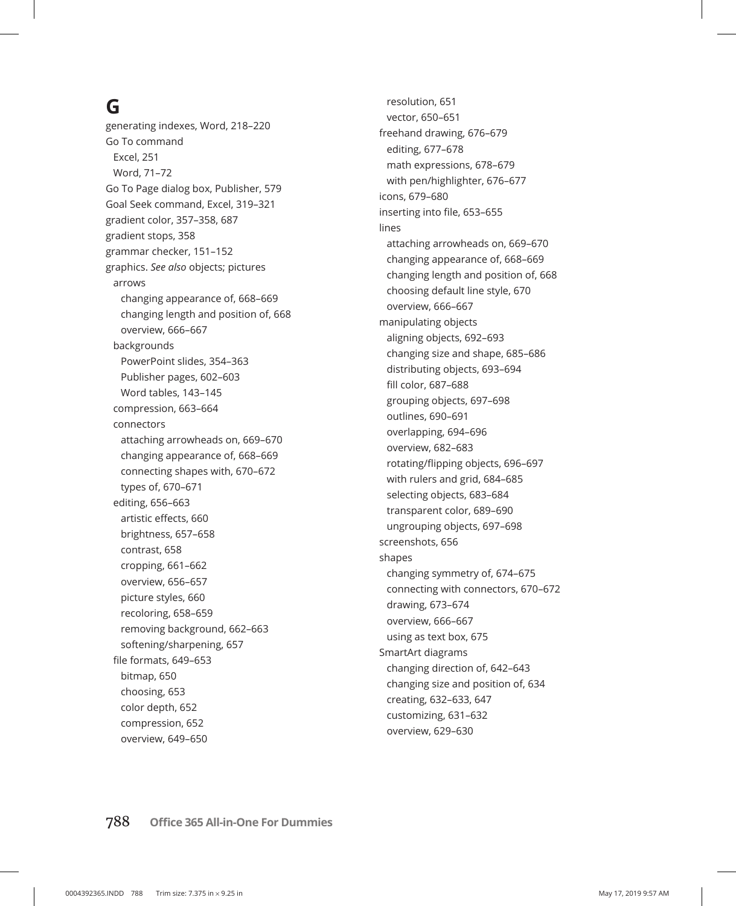# **G**

generating indexes, Word, 218–220 Go To command Excel, 251 Word, 71–72 Go To Page dialog box, Publisher, 579 Goal Seek command, Excel, 319–321 gradient color, 357–358, 687 gradient stops, 358 grammar checker, 151–152 graphics. *See also* objects; pictures arrows changing appearance of, 668–669 changing length and position of, 668 overview, 666–667 backgrounds PowerPoint slides, 354–363 Publisher pages, 602–603 Word tables, 143–145 compression, 663–664 connectors attaching arrowheads on, 669–670 changing appearance of, 668–669 connecting shapes with, 670–672 types of, 670–671 editing, 656–663 artistic effects, 660 brightness, 657–658 contrast, 658 cropping, 661–662 overview, 656–657 picture styles, 660 recoloring, 658–659 removing background, 662–663 softening/sharpening, 657 file formats, 649–653 bitmap, 650 choosing, 653 color depth, 652 compression, 652 overview, 649–650

resolution, 651 vector, 650–651 freehand drawing, 676–679 editing, 677–678 math expressions, 678–679 with pen/highlighter, 676–677 icons, 679–680 inserting into file, 653–655 lines attaching arrowheads on, 669–670 changing appearance of, 668–669 changing length and position of, 668 choosing default line style, 670 overview, 666–667 manipulating objects aligning objects, 692–693 changing size and shape, 685–686 distributing objects, 693–694 fill color, 687–688 grouping objects, 697–698 outlines, 690–691 overlapping, 694–696 overview, 682–683 rotating/flipping objects, 696–697 with rulers and grid, 684–685 selecting objects, 683–684 transparent color, 689–690 ungrouping objects, 697–698 screenshots, 656 shapes changing symmetry of, 674–675 connecting with connectors, 670–672 drawing, 673–674 overview, 666–667 using as text box, 675 SmartArt diagrams changing direction of, 642–643 changing size and position of, 634 creating, 632–633, 647 customizing, 631–632 overview, 629–630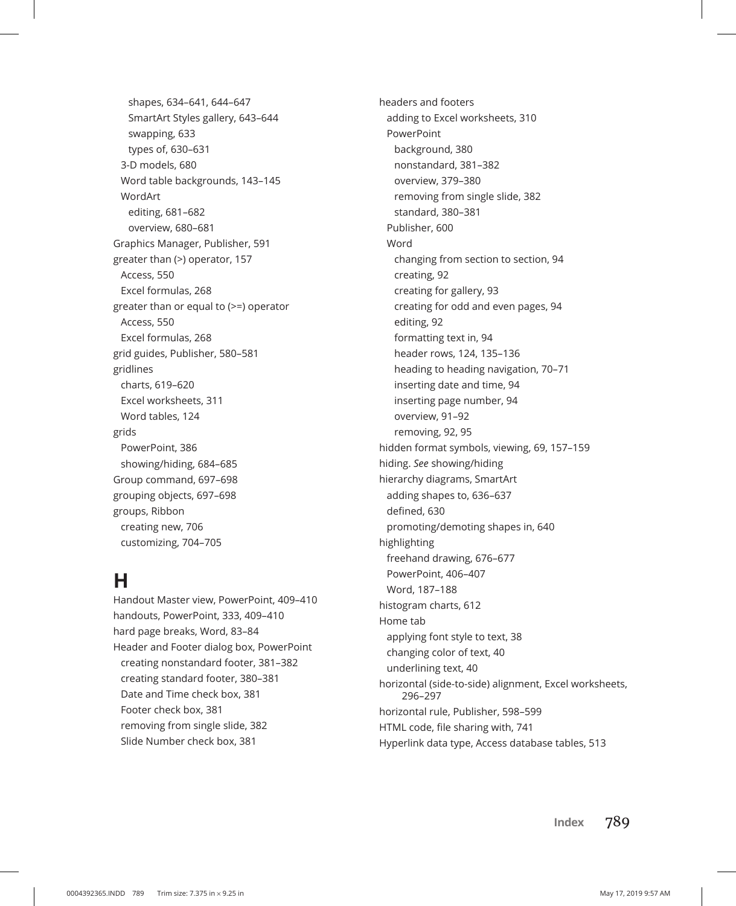shapes, 634–641, 644–647 SmartArt Styles gallery, 643–644 swapping, 633 types of, 630–631 3-D models, 680 Word table backgrounds, 143–145 WordArt editing, 681–682 overview, 680–681 Graphics Manager, Publisher, 591 greater than (>) operator, 157 Access, 550 Excel formulas, 268 greater than or equal to (>=) operator Access, 550 Excel formulas, 268 grid guides, Publisher, 580–581 gridlines charts, 619–620 Excel worksheets, 311 Word tables, 124 grids PowerPoint, 386 showing/hiding, 684–685 Group command, 697–698 grouping objects, 697–698 groups, Ribbon creating new, 706 customizing, 704–705

### **H**

Handout Master view, PowerPoint, 409–410 handouts, PowerPoint, 333, 409–410 hard page breaks, Word, 83–84 Header and Footer dialog box, PowerPoint creating nonstandard footer, 381–382 creating standard footer, 380–381 Date and Time check box, 381 Footer check box, 381 removing from single slide, 382 Slide Number check box, 381

headers and footers adding to Excel worksheets, 310 PowerPoint background, 380 nonstandard, 381–382 overview, 379–380 removing from single slide, 382 standard, 380–381 Publisher, 600 Word changing from section to section, 94 creating, 92 creating for gallery, 93 creating for odd and even pages, 94 editing, 92 formatting text in, 94 header rows, 124, 135–136 heading to heading navigation, 70–71 inserting date and time, 94 inserting page number, 94 overview, 91–92 removing, 92, 95 hidden format symbols, viewing, 69, 157–159 hiding. *See* showing/hiding hierarchy diagrams, SmartArt adding shapes to, 636–637 defined, 630 promoting/demoting shapes in, 640 highlighting freehand drawing, 676–677 PowerPoint, 406–407 Word, 187–188 histogram charts, 612 Home tab applying font style to text, 38 changing color of text, 40 underlining text, 40 horizontal (side-to-side) alignment, Excel worksheets, 296–297 horizontal rule, Publisher, 598–599 HTML code, file sharing with, 741 Hyperlink data type, Access database tables, 513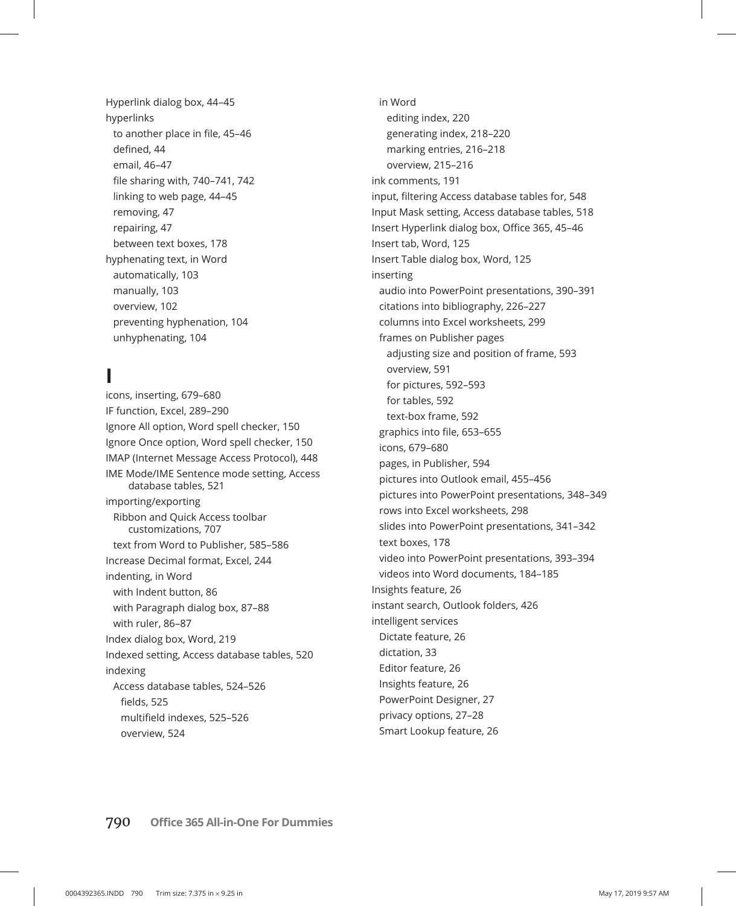Hyperlink dialog box, 44–45 hyperlinks to another place in file, 45–46 defined, 44 email, 46–47 file sharing with, 740–741, 742 linking to web page, 44–45 removing, 47 repairing, 47 between text boxes, 178 hyphenating text, in Word automatically, 103 manually, 103 overview, 102 preventing hyphenation, 104 unhyphenating, 104

### **I**

icons, inserting, 679–680 IF function, Excel, 289–290 Ignore All option, Word spell checker, 150 Ignore Once option, Word spell checker, 150 IMAP (Internet Message Access Protocol), 448 IME Mode/IME Sentence mode setting, Access database tables, 521 importing/exporting Ribbon and Quick Access toolbar customizations, 707 text from Word to Publisher, 585–586 Increase Decimal format, Excel, 244 indenting, in Word with Indent button, 86 with Paragraph dialog box, 87–88 with ruler, 86–87 Index dialog box, Word, 219 Indexed setting, Access database tables, 520 indexing Access database tables, 524–526 fields, 525 multifield indexes, 525–526 overview, 524

in Word editing index, 220 generating index, 218–220 marking entries, 216–218 overview, 215–216 ink comments, 191 input, filtering Access database tables for, 548 Input Mask setting, Access database tables, 518 Insert Hyperlink dialog box, Office 365, 45–46 Insert tab, Word, 125 Insert Table dialog box, Word, 125 inserting audio into PowerPoint presentations, 390–391 citations into bibliography, 226–227 columns into Excel worksheets, 299 frames on Publisher pages adjusting size and position of frame, 593 overview, 591 for pictures, 592–593 for tables, 592 text-box frame, 592 graphics into file, 653–655 icons, 679–680 pages, in Publisher, 594 pictures into Outlook email, 455–456 pictures into PowerPoint presentations, 348–349 rows into Excel worksheets, 298 slides into PowerPoint presentations, 341–342 text boxes, 178 video into PowerPoint presentations, 393–394 videos into Word documents, 184–185 Insights feature, 26 instant search, Outlook folders, 426 intelligent services Dictate feature, 26 dictation, 33 Editor feature, 26 Insights feature, 26 PowerPoint Designer, 27 privacy options, 27–28 Smart Lookup feature, 26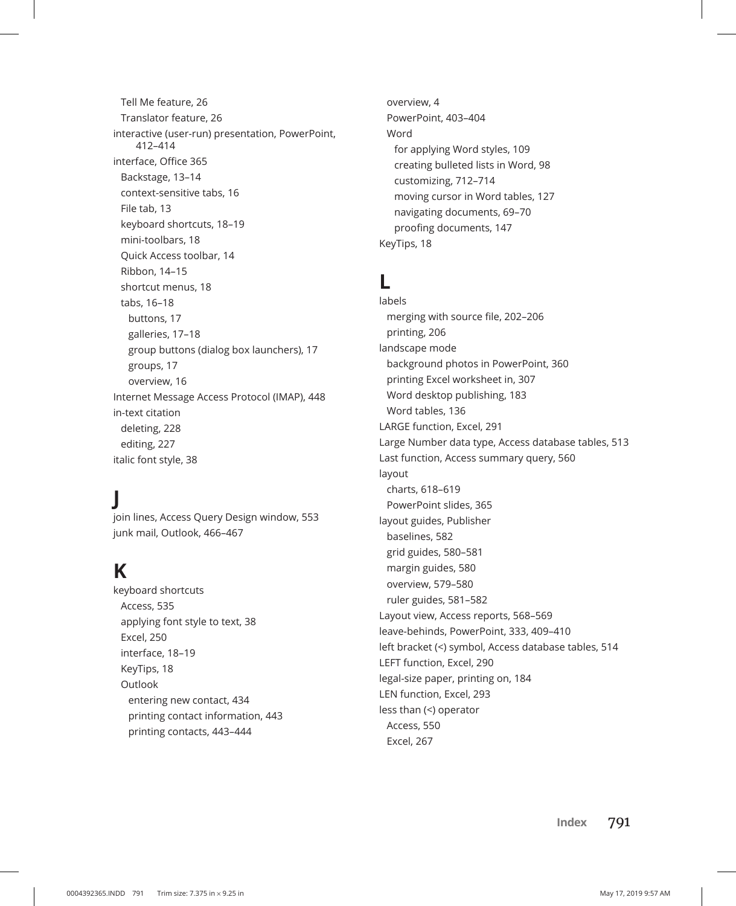Tell Me feature, 26 Translator feature, 26 interactive (user-run) presentation, PowerPoint, 412–414 interface, Office 365 Backstage, 13–14 context-sensitive tabs, 16 File tab, 13 keyboard shortcuts, 18–19 mini-toolbars, 18 Quick Access toolbar, 14 Ribbon, 14–15 shortcut menus, 18 tabs, 16–18 buttons, 17 galleries, 17–18 group buttons (dialog box launchers), 17 groups, 17 overview, 16 Internet Message Access Protocol (IMAP), 448 in-text citation deleting, 228 editing, 227 italic font style, 38

# **J**

join lines, Access Query Design window, 553 junk mail, Outlook, 466–467

### **K**

keyboard shortcuts Access, 535 applying font style to text, 38 Excel, 250 interface, 18–19 KeyTips, 18 **Outlook** entering new contact, 434 printing contact information, 443 printing contacts, 443–444

overview, 4 PowerPoint, 403–404 Word for applying Word styles, 109 creating bulleted lists in Word, 98 customizing, 712–714 moving cursor in Word tables, 127 navigating documents, 69–70 proofing documents, 147 KeyTips, 18

### **L**

labels merging with source file, 202–206 printing, 206 landscape mode background photos in PowerPoint, 360 printing Excel worksheet in, 307 Word desktop publishing, 183 Word tables, 136 LARGE function, Excel, 291 Large Number data type, Access database tables, 513 Last function, Access summary query, 560 layout charts, 618–619 PowerPoint slides, 365 layout guides, Publisher baselines, 582 grid guides, 580–581 margin guides, 580 overview, 579–580 ruler guides, 581–582 Layout view, Access reports, 568–569 leave-behinds, PowerPoint, 333, 409–410 left bracket (<) symbol, Access database tables, 514 LEFT function, Excel, 290 legal-size paper, printing on, 184 LEN function, Excel, 293 less than (<) operator Access, 550 Excel, 267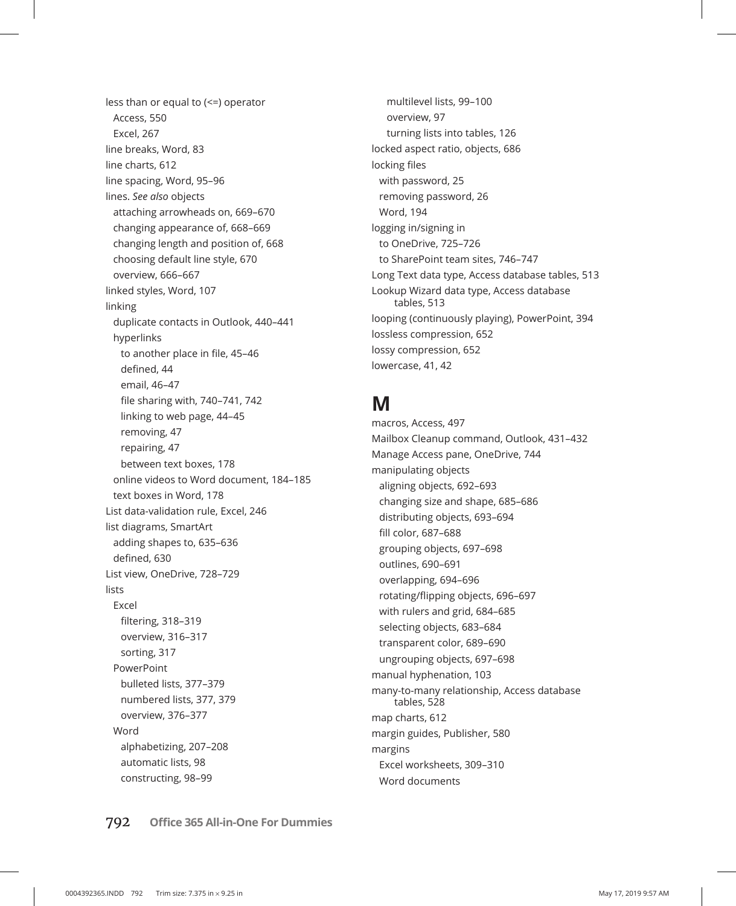less than or equal to (<=) operator Access, 550 Excel, 267 line breaks, Word, 83 line charts, 612 line spacing, Word, 95–96 lines. *See also* objects attaching arrowheads on, 669–670 changing appearance of, 668–669 changing length and position of, 668 choosing default line style, 670 overview, 666–667 linked styles, Word, 107 linking duplicate contacts in Outlook, 440–441 hyperlinks to another place in file, 45–46 defined, 44 email, 46–47 file sharing with, 740–741, 742 linking to web page, 44–45 removing, 47 repairing, 47 between text boxes, 178 online videos to Word document, 184–185 text boxes in Word, 178 List data-validation rule, Excel, 246 list diagrams, SmartArt adding shapes to, 635–636 defined, 630 List view, OneDrive, 728–729 lists Excel filtering, 318–319 overview, 316–317 sorting, 317 PowerPoint bulleted lists, 377–379 numbered lists, 377, 379 overview, 376–377 Word alphabetizing, 207–208 automatic lists, 98 constructing, 98–99

multilevel lists, 99–100 overview, 97 turning lists into tables, 126 locked aspect ratio, objects, 686 locking files with password, 25 removing password, 26 Word, 194 logging in/signing in to OneDrive, 725–726 to SharePoint team sites, 746–747 Long Text data type, Access database tables, 513 Lookup Wizard data type, Access database tables, 513 looping (continuously playing), PowerPoint, 394 lossless compression, 652 lossy compression, 652 lowercase, 41, 42

# **M**

macros, Access, 497 Mailbox Cleanup command, Outlook, 431–432 Manage Access pane, OneDrive, 744 manipulating objects aligning objects, 692–693 changing size and shape, 685–686 distributing objects, 693–694 fill color, 687–688 grouping objects, 697–698 outlines, 690–691 overlapping, 694–696 rotating/flipping objects, 696–697 with rulers and grid, 684–685 selecting objects, 683–684 transparent color, 689–690 ungrouping objects, 697–698 manual hyphenation, 103 many-to-many relationship, Access database tables, 528 map charts, 612 margin guides, Publisher, 580 margins Excel worksheets, 309–310 Word documents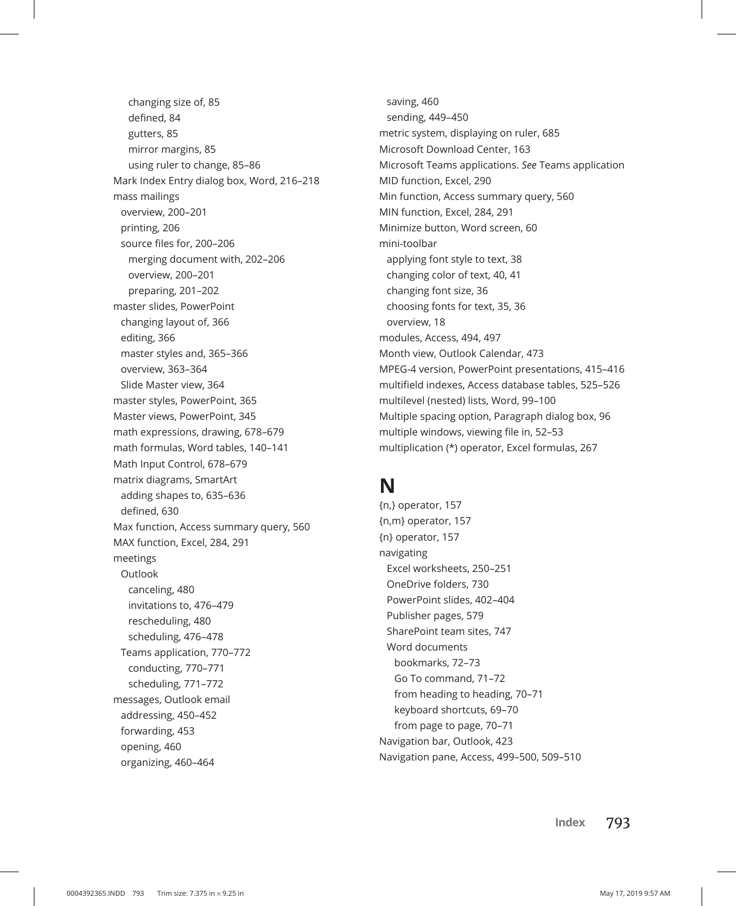changing size of, 85 defined, 84 gutters, 85 mirror margins, 85 using ruler to change, 85–86 Mark Index Entry dialog box, Word, 216–218 mass mailings overview, 200–201 printing, 206 source files for, 200–206 merging document with, 202–206 overview, 200–201 preparing, 201–202 master slides, PowerPoint changing layout of, 366 editing, 366 master styles and, 365–366 overview, 363–364 Slide Master view, 364 master styles, PowerPoint, 365 Master views, PowerPoint, 345 math expressions, drawing, 678–679 math formulas, Word tables, 140–141 Math Input Control, 678–679 matrix diagrams, SmartArt adding shapes to, 635–636 defined, 630 Max function, Access summary query, 560 MAX function, Excel, 284, 291 meetings **Outlook** canceling, 480 invitations to, 476–479 rescheduling, 480 scheduling, 476–478 Teams application, 770–772 conducting, 770–771 scheduling, 771–772 messages, Outlook email addressing, 450–452 forwarding, 453 opening, 460 organizing, 460–464

saving, 460 sending, 449–450 metric system, displaying on ruler, 685 Microsoft Download Center, 163 Microsoft Teams applications. *See* Teams application MID function, Excel, 290 Min function, Access summary query, 560 MIN function, Excel, 284, 291 Minimize button, Word screen, 60 mini-toolbar applying font style to text, 38 changing color of text, 40, 41 changing font size, 36 choosing fonts for text, 35, 36 overview, 18 modules, Access, 494, 497 Month view, Outlook Calendar, 473 MPEG-4 version, PowerPoint presentations, 415–416 multifield indexes, Access database tables, 525–526 multilevel (nested) lists, Word, 99–100 Multiple spacing option, Paragraph dialog box, 96 multiple windows, viewing file in, 52–53 multiplication (\*) operator, Excel formulas, 267

# **N**

{n,} operator, 157 {n,m} operator, 157 {n} operator, 157 navigating Excel worksheets, 250–251 OneDrive folders, 730 PowerPoint slides, 402–404 Publisher pages, 579 SharePoint team sites, 747 Word documents bookmarks, 72–73 Go To command, 71–72 from heading to heading, 70–71 keyboard shortcuts, 69–70 from page to page, 70–71 Navigation bar, Outlook, 423 Navigation pane, Access, 499–500, 509–510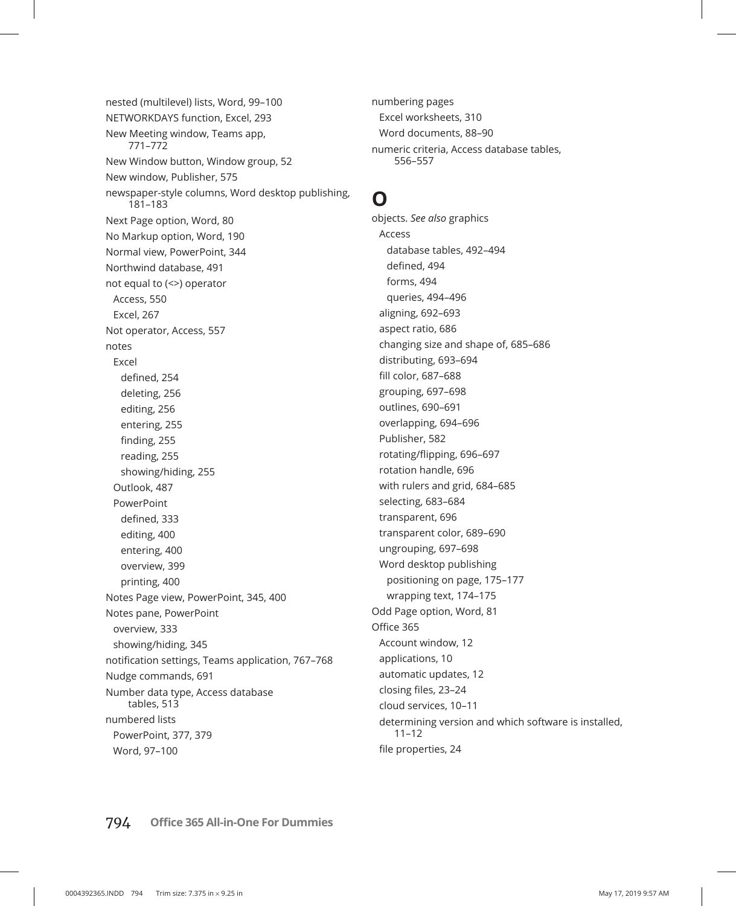nested (multilevel) lists, Word, 99–100 NETWORKDAYS function, Excel, 293 New Meeting window, Teams app, 771–772 New Window button, Window group, 52 New window, Publisher, 575 newspaper-style columns, Word desktop publishing, 181–183 Next Page option, Word, 80 No Markup option, Word, 190 Normal view, PowerPoint, 344 Northwind database, 491 not equal to (<>) operator Access, 550 Excel, 267 Not operator, Access, 557 notes Excel defined, 254 deleting, 256 editing, 256 entering, 255 finding, 255 reading, 255 showing/hiding, 255 Outlook, 487 PowerPoint defined, 333 editing, 400 entering, 400 overview, 399 printing, 400 Notes Page view, PowerPoint, 345, 400 Notes pane, PowerPoint overview, 333 showing/hiding, 345 notification settings, Teams application, 767–768 Nudge commands, 691 Number data type, Access database tables, 513 numbered lists PowerPoint, 377, 379 Word, 97–100

numbering pages Excel worksheets, 310 Word documents, 88–90 numeric criteria, Access database tables, 556–557

### **O**

objects. *See also* graphics Access database tables, 492–494 defined, 494 forms, 494 queries, 494–496 aligning, 692–693 aspect ratio, 686 changing size and shape of, 685–686 distributing, 693–694 fill color, 687–688 grouping, 697–698 outlines, 690–691 overlapping, 694–696 Publisher, 582 rotating/flipping, 696–697 rotation handle, 696 with rulers and grid, 684–685 selecting, 683–684 transparent, 696 transparent color, 689–690 ungrouping, 697–698 Word desktop publishing positioning on page, 175–177 wrapping text, 174–175 Odd Page option, Word, 81 Office 365 Account window, 12 applications, 10 automatic updates, 12 closing files, 23–24 cloud services, 10–11 determining version and which software is installed, 11–12 file properties, 24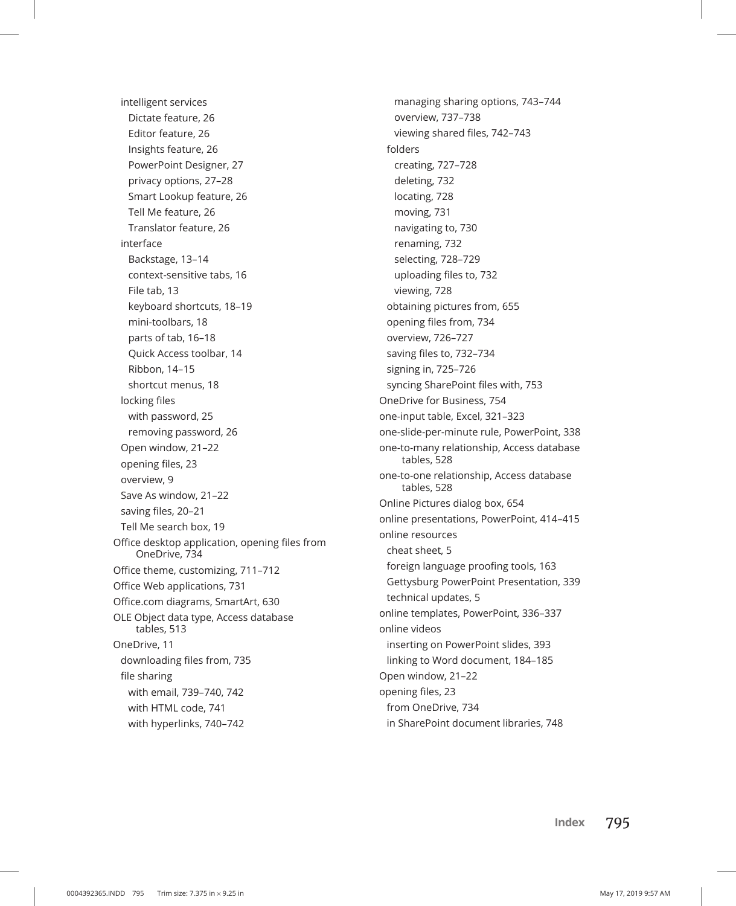intelligent services Dictate feature, 26 Editor feature, 26 Insights feature, 26 PowerPoint Designer, 27 privacy options, 27–28 Smart Lookup feature, 26 Tell Me feature, 26 Translator feature, 26 interface Backstage, 13–14 context-sensitive tabs, 16 File tab, 13 keyboard shortcuts, 18–19 mini-toolbars, 18 parts of tab, 16–18 Quick Access toolbar, 14 Ribbon, 14–15 shortcut menus, 18 locking files with password, 25 removing password, 26 Open window, 21–22 opening files, 23 overview, 9 Save As window, 21–22 saving files, 20–21 Tell Me search box, 19 Office desktop application, opening files from OneDrive, 734 Office theme, customizing, 711–712 Office Web applications, 731 Office.com diagrams, SmartArt, 630 OLE Object data type, Access database tables, 513 OneDrive, 11 downloading files from, 735 file sharing with email, 739–740, 742 with HTML code, 741 with hyperlinks, 740–742

managing sharing options, 743–744 overview, 737–738 viewing shared files, 742–743 folders creating, 727–728 deleting, 732 locating, 728 moving, 731 navigating to, 730 renaming, 732 selecting, 728–729 uploading files to, 732 viewing, 728 obtaining pictures from, 655 opening files from, 734 overview, 726–727 saving files to, 732–734 signing in, 725–726 syncing SharePoint files with, 753 OneDrive for Business, 754 one-input table, Excel, 321–323 one-slide-per-minute rule, PowerPoint, 338 one-to-many relationship, Access database tables, 528 one-to-one relationship, Access database tables, 528 Online Pictures dialog box, 654 online presentations, PowerPoint, 414–415 online resources cheat sheet, 5 foreign language proofing tools, 163 Gettysburg PowerPoint Presentation, 339 technical updates, 5 online templates, PowerPoint, 336–337 online videos inserting on PowerPoint slides, 393 linking to Word document, 184–185 Open window, 21–22 opening files, 23 from OneDrive, 734 in SharePoint document libraries, 748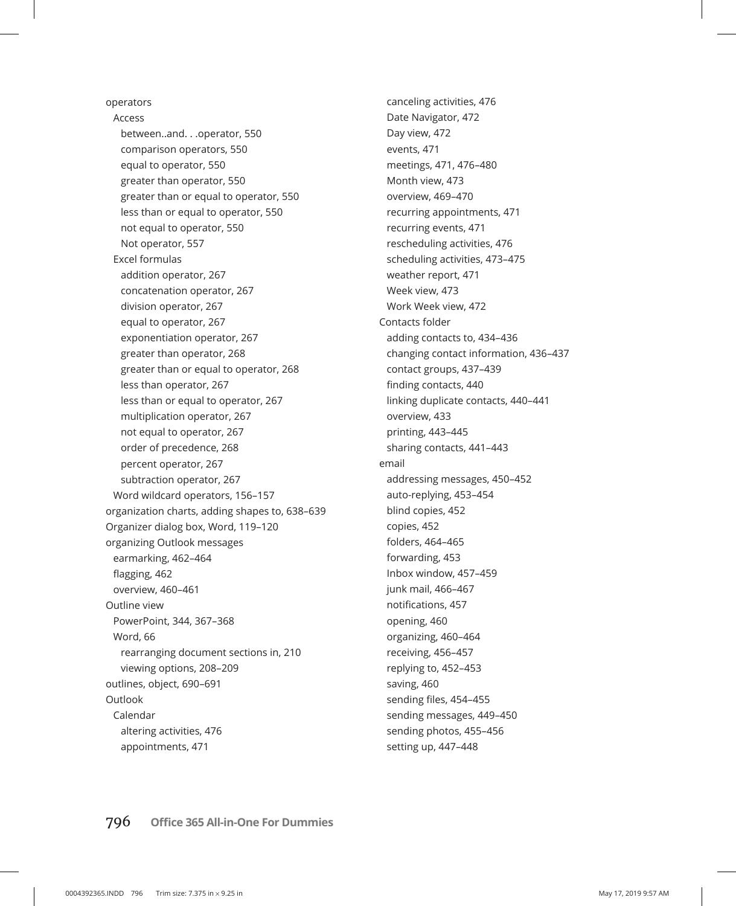operators Access between..and. . .operator, 550 comparison operators, 550 equal to operator, 550 greater than operator, 550 greater than or equal to operator, 550 less than or equal to operator, 550 not equal to operator, 550 Not operator, 557 Excel formulas addition operator, 267 concatenation operator, 267 division operator, 267 equal to operator, 267 exponentiation operator, 267 greater than operator, 268 greater than or equal to operator, 268 less than operator, 267 less than or equal to operator, 267 multiplication operator, 267 not equal to operator, 267 order of precedence, 268 percent operator, 267 subtraction operator, 267 Word wildcard operators, 156–157 organization charts, adding shapes to, 638–639 Organizer dialog box, Word, 119–120 organizing Outlook messages earmarking, 462–464 flagging, 462 overview, 460–461 Outline view PowerPoint, 344, 367–368 Word, 66 rearranging document sections in, 210 viewing options, 208–209 outlines, object, 690–691 Outlook Calendar altering activities, 476 appointments, 471

canceling activities, 476 Date Navigator, 472 Day view, 472 events, 471 meetings, 471, 476–480 Month view, 473 overview, 469–470 recurring appointments, 471 recurring events, 471 rescheduling activities, 476 scheduling activities, 473–475 weather report, 471 Week view, 473 Work Week view, 472 Contacts folder adding contacts to, 434–436 changing contact information, 436–437 contact groups, 437–439 finding contacts, 440 linking duplicate contacts, 440–441 overview, 433 printing, 443–445 sharing contacts, 441–443 email addressing messages, 450–452 auto-replying, 453–454 blind copies, 452 copies, 452 folders, 464–465 forwarding, 453 Inbox window, 457–459 junk mail, 466–467 notifications, 457 opening, 460 organizing, 460–464 receiving, 456–457 replying to, 452–453 saving, 460 sending files, 454–455 sending messages, 449–450 sending photos, 455–456 setting up, 447–448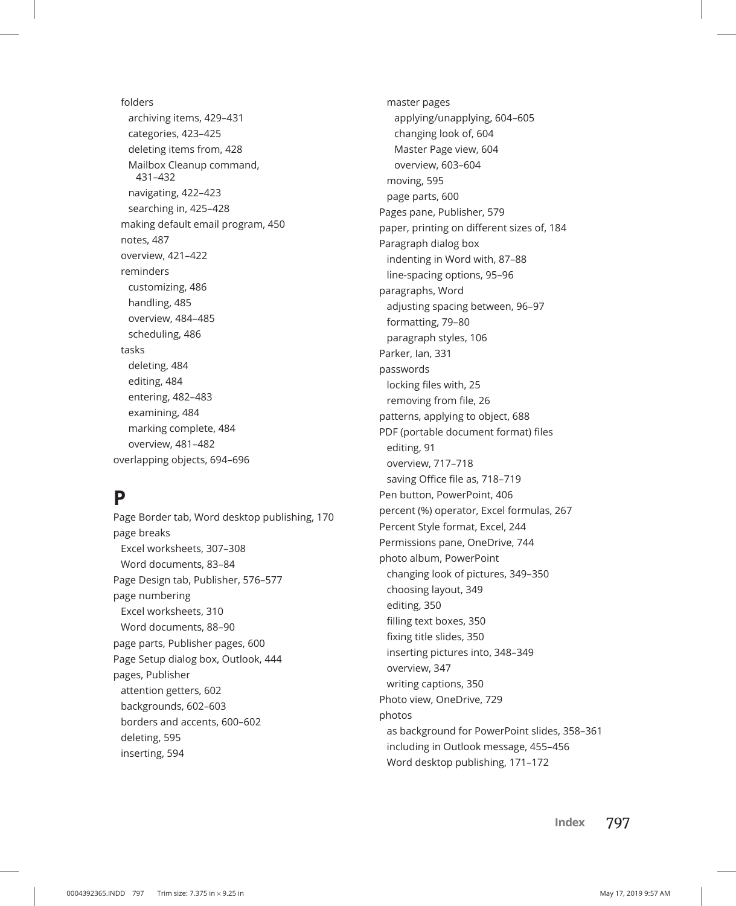folders archiving items, 429–431 categories, 423–425 deleting items from, 428 Mailbox Cleanup command, 431–432 navigating, 422–423 searching in, 425–428 making default email program, 450 notes, 487 overview, 421–422 reminders customizing, 486 handling, 485 overview, 484–485 scheduling, 486 tasks deleting, 484 editing, 484 entering, 482–483 examining, 484 marking complete, 484 overview, 481–482 overlapping objects, 694–696

### **P**

Page Border tab, Word desktop publishing, 170 page breaks Excel worksheets, 307–308 Word documents, 83–84 Page Design tab, Publisher, 576–577 page numbering Excel worksheets, 310 Word documents, 88–90 page parts, Publisher pages, 600 Page Setup dialog box, Outlook, 444 pages, Publisher attention getters, 602 backgrounds, 602–603 borders and accents, 600–602 deleting, 595 inserting, 594

master pages applying/unapplying, 604–605 changing look of, 604 Master Page view, 604 overview, 603–604 moving, 595 page parts, 600 Pages pane, Publisher, 579 paper, printing on different sizes of, 184 Paragraph dialog box indenting in Word with, 87–88 line-spacing options, 95–96 paragraphs, Word adjusting spacing between, 96–97 formatting, 79–80 paragraph styles, 106 Parker, Ian, 331 passwords locking files with, 25 removing from file, 26 patterns, applying to object, 688 PDF (portable document format) files editing, 91 overview, 717–718 saving Office file as, 718–719 Pen button, PowerPoint, 406 percent (%) operator, Excel formulas, 267 Percent Style format, Excel, 244 Permissions pane, OneDrive, 744 photo album, PowerPoint changing look of pictures, 349–350 choosing layout, 349 editing, 350 filling text boxes, 350 fixing title slides, 350 inserting pictures into, 348–349 overview, 347 writing captions, 350 Photo view, OneDrive, 729 photos as background for PowerPoint slides, 358–361 including in Outlook message, 455–456 Word desktop publishing, 171–172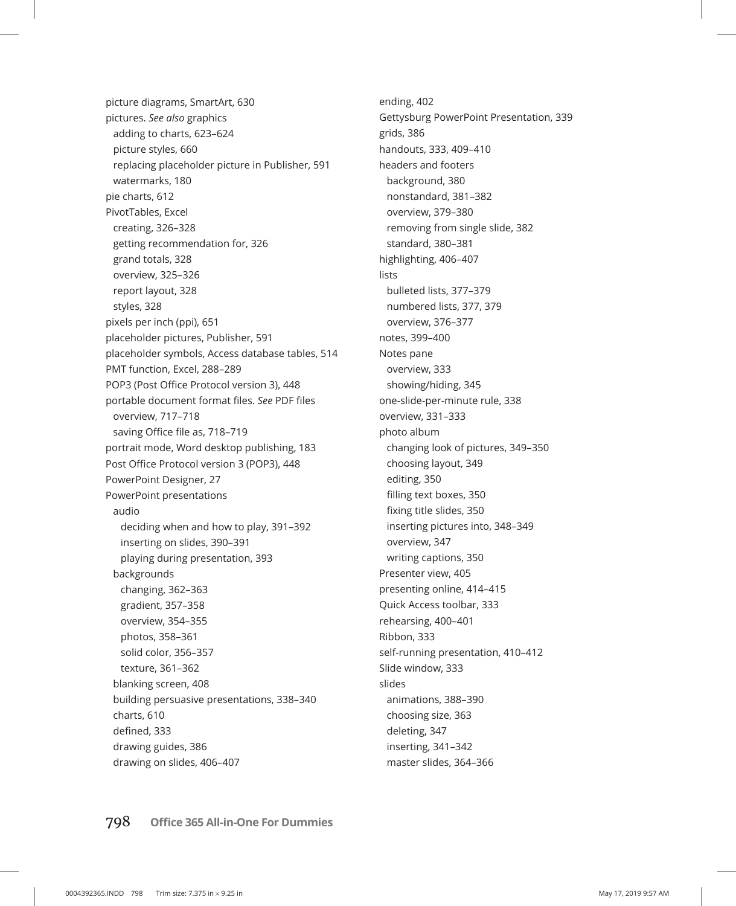picture diagrams, SmartArt, 630 pictures. *See also* graphics adding to charts, 623–624 picture styles, 660 replacing placeholder picture in Publisher, 591 watermarks, 180 pie charts, 612 PivotTables, Excel creating, 326–328 getting recommendation for, 326 grand totals, 328 overview, 325–326 report layout, 328 styles, 328 pixels per inch (ppi), 651 placeholder pictures, Publisher, 591 placeholder symbols, Access database tables, 514 PMT function, Excel, 288–289 POP3 (Post Office Protocol version 3), 448 portable document format files. *See* PDF files overview, 717–718 saving Office file as, 718–719 portrait mode, Word desktop publishing, 183 Post Office Protocol version 3 (POP3), 448 PowerPoint Designer, 27 PowerPoint presentations audio deciding when and how to play, 391–392 inserting on slides, 390–391 playing during presentation, 393 backgrounds changing, 362–363 gradient, 357–358 overview, 354–355 photos, 358–361 solid color, 356–357 texture, 361–362 blanking screen, 408 building persuasive presentations, 338–340 charts, 610 defined, 333 drawing guides, 386 drawing on slides, 406–407

ending, 402 Gettysburg PowerPoint Presentation, 339 grids, 386 handouts, 333, 409–410 headers and footers background, 380 nonstandard, 381–382 overview, 379–380 removing from single slide, 382 standard, 380–381 highlighting, 406–407 lists bulleted lists, 377–379 numbered lists, 377, 379 overview, 376–377 notes, 399–400 Notes pane overview, 333 showing/hiding, 345 one-slide-per-minute rule, 338 overview, 331–333 photo album changing look of pictures, 349–350 choosing layout, 349 editing, 350 filling text boxes, 350 fixing title slides, 350 inserting pictures into, 348–349 overview, 347 writing captions, 350 Presenter view, 405 presenting online, 414–415 Quick Access toolbar, 333 rehearsing, 400–401 Ribbon, 333 self-running presentation, 410–412 Slide window, 333 slides animations, 388–390 choosing size, 363 deleting, 347 inserting, 341–342 master slides, 364–366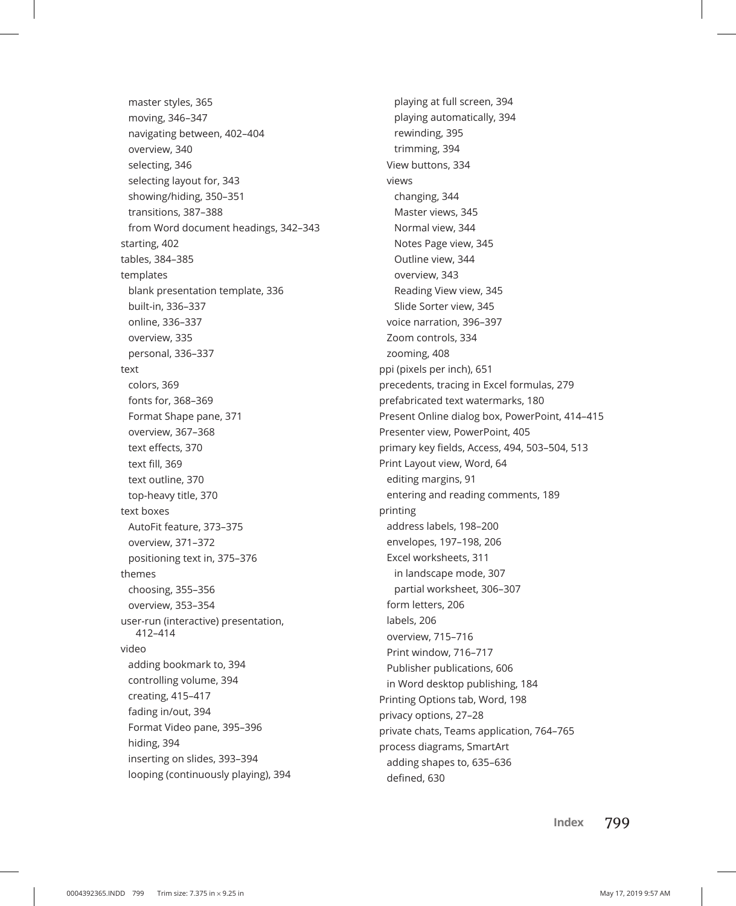master styles, 365 moving, 346–347 navigating between, 402–404 overview, 340 selecting, 346 selecting layout for, 343 showing/hiding, 350–351 transitions, 387–388 from Word document headings, 342–343 starting, 402 tables, 384–385 templates blank presentation template, 336 built-in, 336–337 online, 336–337 overview, 335 personal, 336–337 text colors, 369 fonts for, 368–369 Format Shape pane, 371 overview, 367–368 text effects, 370 text fill, 369 text outline, 370 top-heavy title, 370 text boxes AutoFit feature, 373–375 overview, 371–372 positioning text in, 375–376 themes choosing, 355–356 overview, 353–354 user-run (interactive) presentation, 412–414 video adding bookmark to, 394 controlling volume, 394 creating, 415–417 fading in/out, 394 Format Video pane, 395–396 hiding, 394 inserting on slides, 393–394 looping (continuously playing), 394

playing at full screen, 394 playing automatically, 394 rewinding, 395 trimming, 394 View buttons, 334 views changing, 344 Master views, 345 Normal view, 344 Notes Page view, 345 Outline view, 344 overview, 343 Reading View view, 345 Slide Sorter view, 345 voice narration, 396–397 Zoom controls, 334 zooming, 408 ppi (pixels per inch), 651 precedents, tracing in Excel formulas, 279 prefabricated text watermarks, 180 Present Online dialog box, PowerPoint, 414–415 Presenter view, PowerPoint, 405 primary key fields, Access, 494, 503–504, 513 Print Layout view, Word, 64 editing margins, 91 entering and reading comments, 189 printing address labels, 198–200 envelopes, 197–198, 206 Excel worksheets, 311 in landscape mode, 307 partial worksheet, 306–307 form letters, 206 labels, 206 overview, 715–716 Print window, 716–717 Publisher publications, 606 in Word desktop publishing, 184 Printing Options tab, Word, 198 privacy options, 27–28 private chats, Teams application, 764–765 process diagrams, SmartArt adding shapes to, 635–636 defined, 630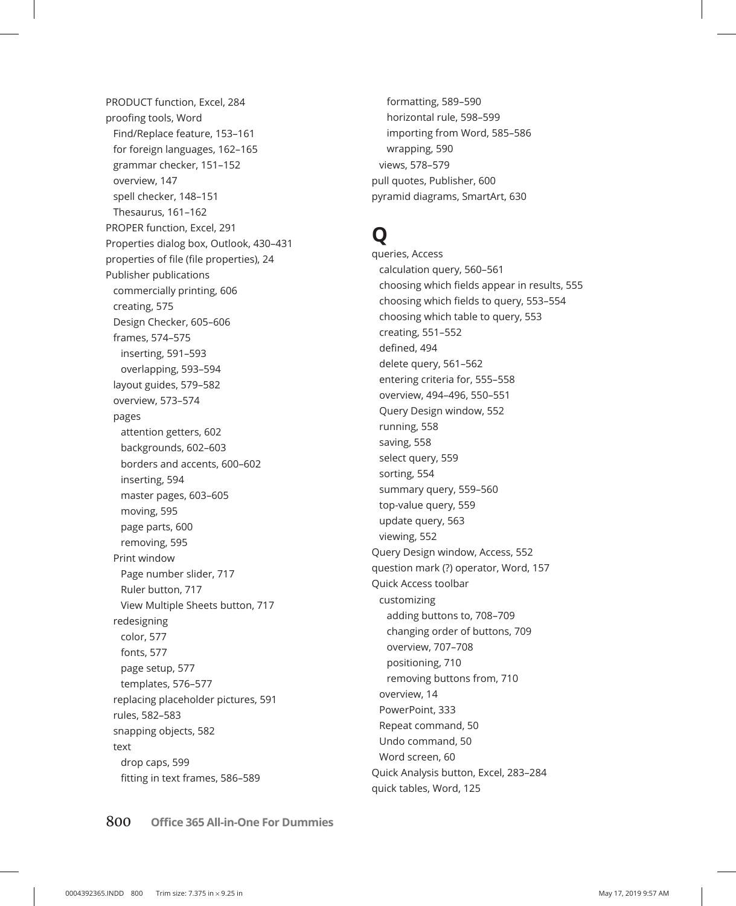PRODUCT function, Excel, 284 proofing tools, Word Find/Replace feature, 153–161 for foreign languages, 162–165 grammar checker, 151–152 overview, 147 spell checker, 148–151 Thesaurus, 161–162 PROPER function, Excel, 291 Properties dialog box, Outlook, 430–431 properties of file (file properties), 24 Publisher publications commercially printing, 606 creating, 575 Design Checker, 605–606 frames, 574–575 inserting, 591–593 overlapping, 593–594 layout guides, 579–582 overview, 573–574 pages attention getters, 602 backgrounds, 602–603 borders and accents, 600–602 inserting, 594 master pages, 603–605 moving, 595 page parts, 600 removing, 595 Print window Page number slider, 717 Ruler button, 717 View Multiple Sheets button, 717 redesigning color, 577 fonts, 577 page setup, 577 templates, 576–577 replacing placeholder pictures, 591 rules, 582–583 snapping objects, 582 text drop caps, 599 fitting in text frames, 586–589

formatting, 589–590 horizontal rule, 598–599 importing from Word, 585–586 wrapping, 590 views, 578–579 pull quotes, Publisher, 600 pyramid diagrams, SmartArt, 630

# **Q**

queries, Access calculation query, 560–561 choosing which fields appear in results, 555 choosing which fields to query, 553–554 choosing which table to query, 553 creating, 551–552 defined, 494 delete query, 561–562 entering criteria for, 555–558 overview, 494–496, 550–551 Query Design window, 552 running, 558 saving, 558 select query, 559 sorting, 554 summary query, 559–560 top-value query, 559 update query, 563 viewing, 552 Query Design window, Access, 552 question mark (?) operator, Word, 157 Quick Access toolbar customizing adding buttons to, 708–709 changing order of buttons, 709 overview, 707–708 positioning, 710 removing buttons from, 710 overview, 14 PowerPoint, 333 Repeat command, 50 Undo command, 50 Word screen, 60 Quick Analysis button, Excel, 283–284 quick tables, Word, 125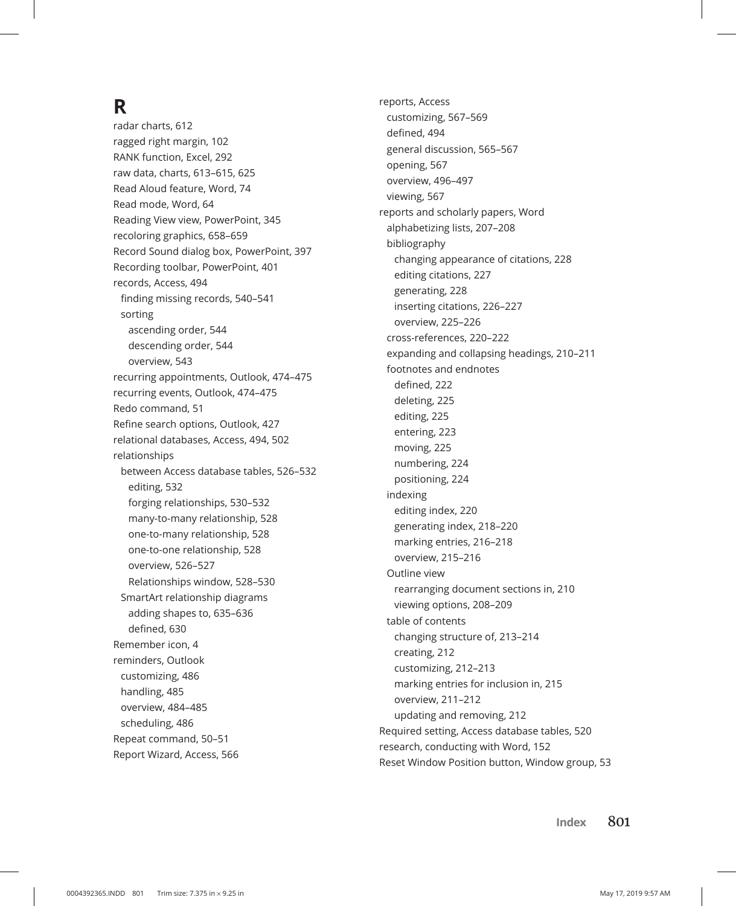# **R**

radar charts, 612 ragged right margin, 102 RANK function, Excel, 292 raw data, charts, 613–615, 625 Read Aloud feature, Word, 74 Read mode, Word, 64 Reading View view, PowerPoint, 345 recoloring graphics, 658–659 Record Sound dialog box, PowerPoint, 397 Recording toolbar, PowerPoint, 401 records, Access, 494 finding missing records, 540–541 sorting ascending order, 544 descending order, 544 overview, 543 recurring appointments, Outlook, 474–475 recurring events, Outlook, 474–475 Redo command, 51 Refine search options, Outlook, 427 relational databases, Access, 494, 502 relationships between Access database tables, 526–532 editing, 532 forging relationships, 530–532 many-to-many relationship, 528 one-to-many relationship, 528 one-to-one relationship, 528 overview, 526–527 Relationships window, 528–530 SmartArt relationship diagrams adding shapes to, 635–636 defined, 630 Remember icon, 4 reminders, Outlook customizing, 486 handling, 485 overview, 484–485 scheduling, 486 Repeat command, 50–51 Report Wizard, Access, 566

reports, Access customizing, 567–569 defined, 494 general discussion, 565–567 opening, 567 overview, 496–497 viewing, 567 reports and scholarly papers, Word alphabetizing lists, 207–208 bibliography changing appearance of citations, 228 editing citations, 227 generating, 228 inserting citations, 226–227 overview, 225–226 cross-references, 220–222 expanding and collapsing headings, 210–211 footnotes and endnotes defined, 222 deleting, 225 editing, 225 entering, 223 moving, 225 numbering, 224 positioning, 224 indexing editing index, 220 generating index, 218–220 marking entries, 216–218 overview, 215–216 Outline view rearranging document sections in, 210 viewing options, 208–209 table of contents changing structure of, 213–214 creating, 212 customizing, 212–213 marking entries for inclusion in, 215 overview, 211–212 updating and removing, 212 Required setting, Access database tables, 520 research, conducting with Word, 152 Reset Window Position button, Window group, 53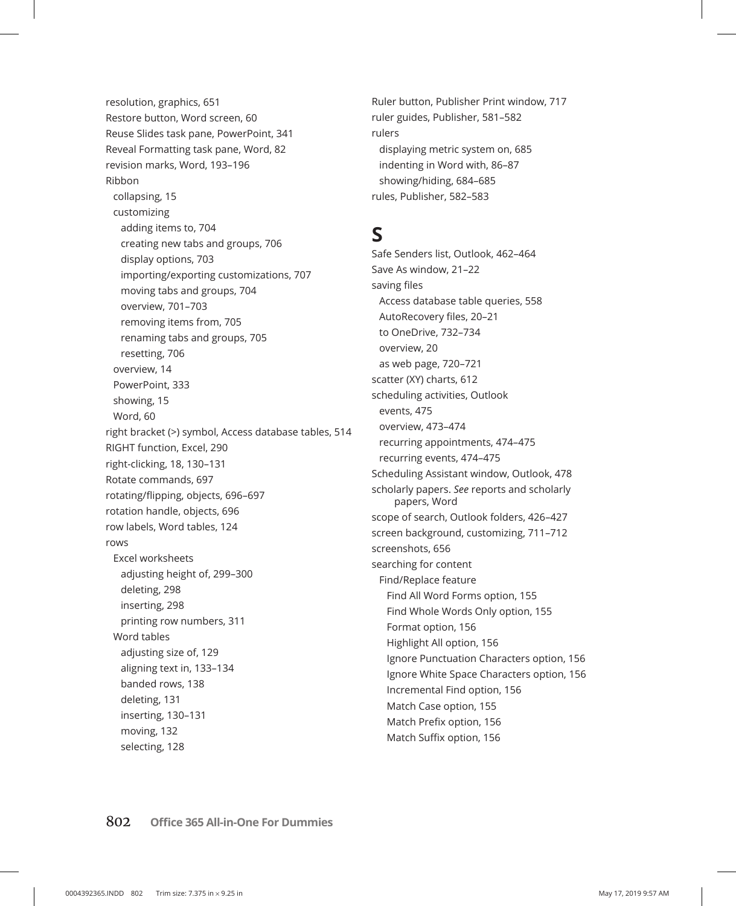resolution, graphics, 651 Restore button, Word screen, 60 Reuse Slides task pane, PowerPoint, 341 Reveal Formatting task pane, Word, 82 revision marks, Word, 193–196 Ribbon collapsing, 15 customizing adding items to, 704 creating new tabs and groups, 706 display options, 703 importing/exporting customizations, 707 moving tabs and groups, 704 overview, 701–703 removing items from, 705 renaming tabs and groups, 705 resetting, 706 overview, 14 PowerPoint, 333 showing, 15 Word, 60 right bracket (>) symbol, Access database tables, 514 RIGHT function, Excel, 290 right-clicking, 18, 130–131 Rotate commands, 697 rotating/flipping, objects, 696–697 rotation handle, objects, 696 row labels, Word tables, 124 rows Excel worksheets adjusting height of, 299–300 deleting, 298 inserting, 298 printing row numbers, 311 Word tables adjusting size of, 129 aligning text in, 133–134 banded rows, 138 deleting, 131 inserting, 130–131 moving, 132 selecting, 128

Ruler button, Publisher Print window, 717 ruler guides, Publisher, 581–582 rulers displaying metric system on, 685 indenting in Word with, 86–87 showing/hiding, 684–685 rules, Publisher, 582–583

### **S**

Safe Senders list, Outlook, 462–464 Save As window, 21–22 saving files Access database table queries, 558 AutoRecovery files, 20–21 to OneDrive, 732–734 overview, 20 as web page, 720–721 scatter (XY) charts, 612 scheduling activities, Outlook events, 475 overview, 473–474 recurring appointments, 474–475 recurring events, 474–475 Scheduling Assistant window, Outlook, 478 scholarly papers. *See* reports and scholarly papers, Word scope of search, Outlook folders, 426–427 screen background, customizing, 711–712 screenshots, 656 searching for content Find/Replace feature Find All Word Forms option, 155 Find Whole Words Only option, 155 Format option, 156 Highlight All option, 156 Ignore Punctuation Characters option, 156 Ignore White Space Characters option, 156 Incremental Find option, 156 Match Case option, 155 Match Prefix option, 156

Match Suffix option, 156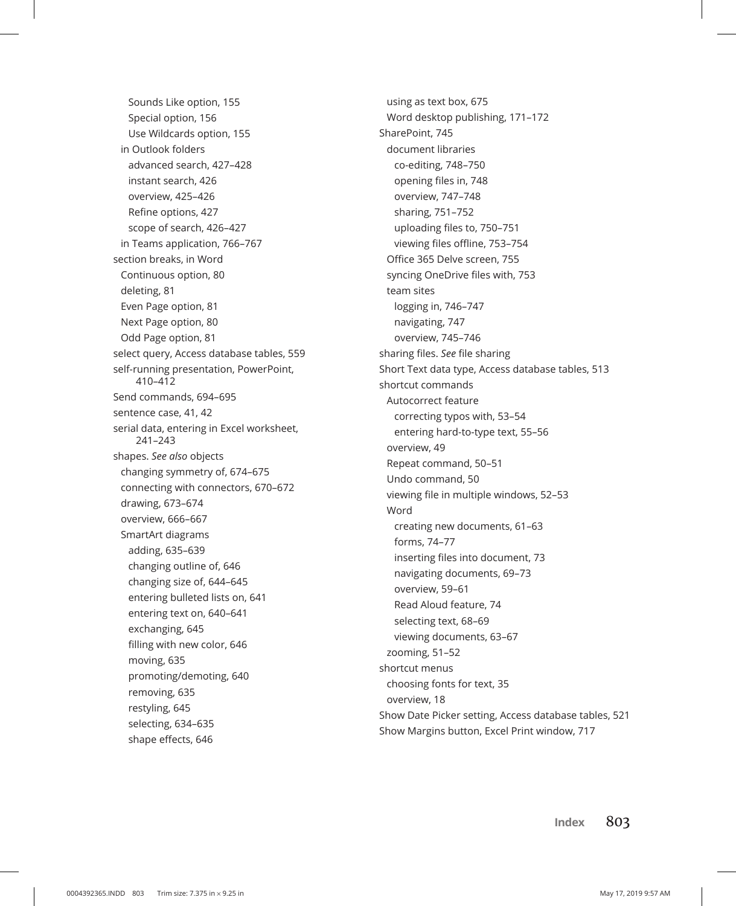Sounds Like option, 155 Special option, 156 Use Wildcards option, 155 in Outlook folders advanced search, 427–428 instant search, 426 overview, 425–426 Refine options, 427 scope of search, 426–427 in Teams application, 766–767 section breaks, in Word Continuous option, 80 deleting, 81 Even Page option, 81 Next Page option, 80 Odd Page option, 81 select query, Access database tables, 559 self-running presentation, PowerPoint, 410–412 Send commands, 694–695 sentence case, 41, 42 serial data, entering in Excel worksheet, 241–243 shapes. *See also* objects changing symmetry of, 674–675 connecting with connectors, 670–672 drawing, 673–674 overview, 666–667 SmartArt diagrams adding, 635–639 changing outline of, 646 changing size of, 644–645 entering bulleted lists on, 641 entering text on, 640–641 exchanging, 645 filling with new color, 646 moving, 635 promoting/demoting, 640 removing, 635 restyling, 645 selecting, 634–635 shape effects, 646

using as text box, 675 Word desktop publishing, 171–172 SharePoint, 745 document libraries co-editing, 748–750 opening files in, 748 overview, 747–748 sharing, 751–752 uploading files to, 750–751 viewing files offline, 753–754 Office 365 Delve screen, 755 syncing OneDrive files with, 753 team sites logging in, 746–747 navigating, 747 overview, 745–746 sharing files. *See* file sharing Short Text data type, Access database tables, 513 shortcut commands Autocorrect feature correcting typos with, 53–54 entering hard-to-type text, 55–56 overview, 49 Repeat command, 50–51 Undo command, 50 viewing file in multiple windows, 52–53 Word creating new documents, 61–63 forms, 74–77 inserting files into document, 73 navigating documents, 69–73 overview, 59–61 Read Aloud feature, 74 selecting text, 68–69 viewing documents, 63–67 zooming, 51–52 shortcut menus choosing fonts for text, 35 overview, 18 Show Date Picker setting, Access database tables, 521 Show Margins button, Excel Print window, 717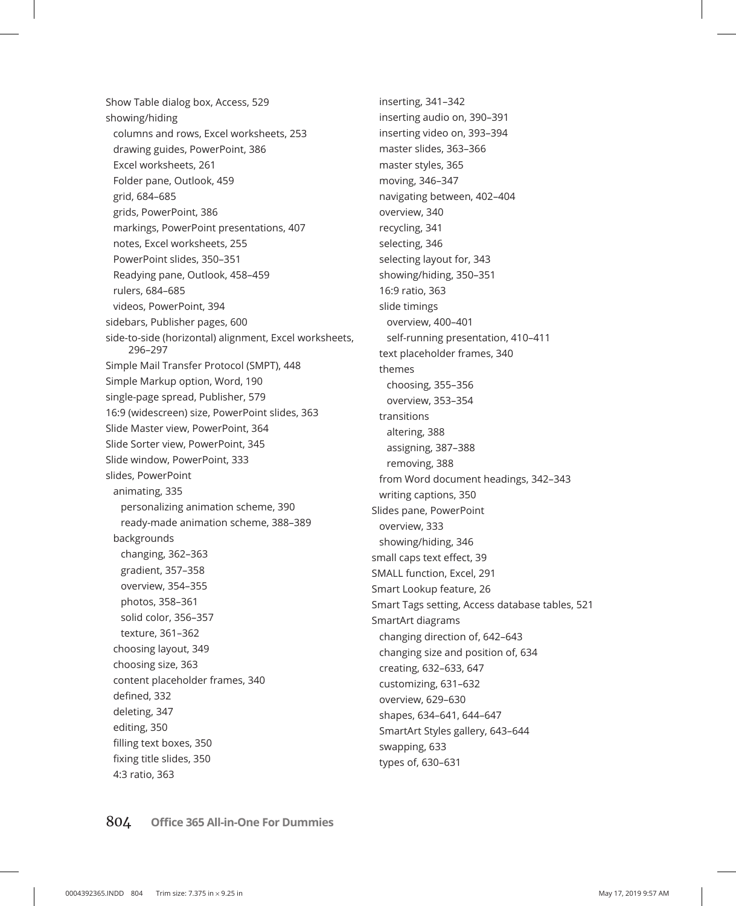Show Table dialog box, Access, 529 showing/hiding columns and rows, Excel worksheets, 253 drawing guides, PowerPoint, 386 Excel worksheets, 261 Folder pane, Outlook, 459 grid, 684–685 grids, PowerPoint, 386 markings, PowerPoint presentations, 407 notes, Excel worksheets, 255 PowerPoint slides, 350–351 Readying pane, Outlook, 458–459 rulers, 684–685 videos, PowerPoint, 394 sidebars, Publisher pages, 600 side-to-side (horizontal) alignment, Excel worksheets, 296–297 Simple Mail Transfer Protocol (SMPT), 448 Simple Markup option, Word, 190 single-page spread, Publisher, 579 16:9 (widescreen) size, PowerPoint slides, 363 Slide Master view, PowerPoint, 364 Slide Sorter view, PowerPoint, 345 Slide window, PowerPoint, 333 slides, PowerPoint animating, 335 personalizing animation scheme, 390 ready-made animation scheme, 388–389 backgrounds changing, 362–363 gradient, 357–358 overview, 354–355 photos, 358–361 solid color, 356–357 texture, 361–362 choosing layout, 349 choosing size, 363 content placeholder frames, 340 defined, 332 deleting, 347 editing, 350 filling text boxes, 350 fixing title slides, 350 4:3 ratio, 363

inserting, 341–342 inserting audio on, 390–391 inserting video on, 393–394 master slides, 363–366 master styles, 365 moving, 346–347 navigating between, 402–404 overview, 340 recycling, 341 selecting, 346 selecting layout for, 343 showing/hiding, 350–351 16:9 ratio, 363 slide timings overview, 400–401 self-running presentation, 410–411 text placeholder frames, 340 themes choosing, 355–356 overview, 353–354 transitions altering, 388 assigning, 387–388 removing, 388 from Word document headings, 342–343 writing captions, 350 Slides pane, PowerPoint overview, 333 showing/hiding, 346 small caps text effect, 39 SMALL function, Excel, 291 Smart Lookup feature, 26 Smart Tags setting, Access database tables, 521 SmartArt diagrams changing direction of, 642–643 changing size and position of, 634 creating, 632–633, 647 customizing, 631–632 overview, 629–630 shapes, 634–641, 644–647 SmartArt Styles gallery, 643–644 swapping, 633 types of, 630–631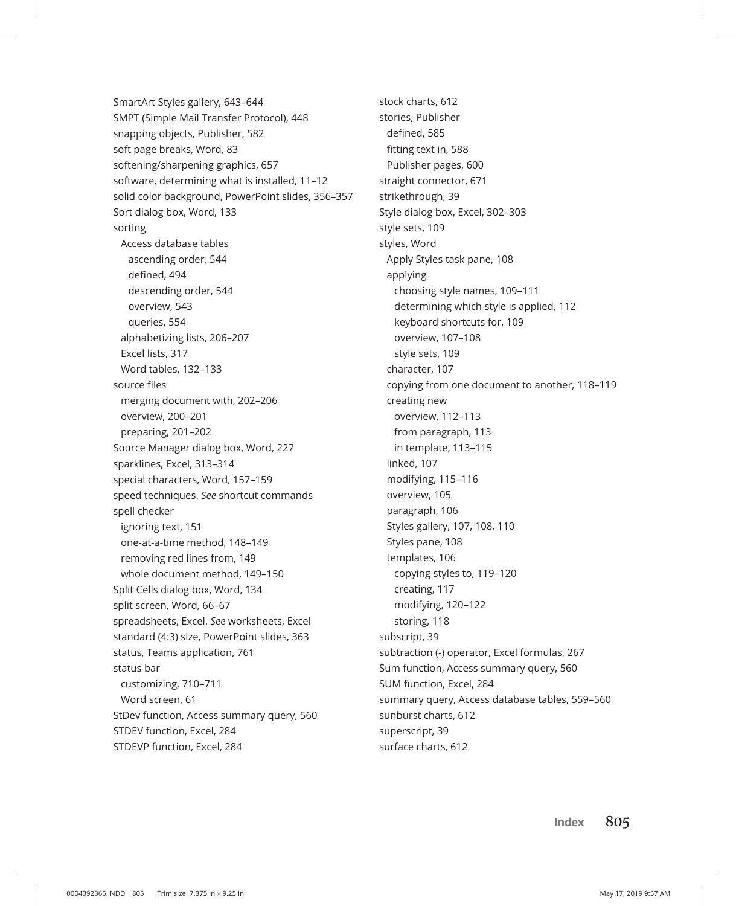SmartArt Styles gallery, 643–644 SMPT (Simple Mail Transfer Protocol), 448 snapping objects, Publisher, 582 soft page breaks, Word, 83 softening/sharpening graphics, 657 software, determining what is installed, 11–12 solid color background, PowerPoint slides, 356–357 Sort dialog box, Word, 133 sorting Access database tables ascending order, 544 defined, 494 descending order, 544 overview, 543 queries, 554 alphabetizing lists, 206–207 Excel lists, 317 Word tables, 132–133 source files merging document with, 202–206 overview, 200–201 preparing, 201–202 Source Manager dialog box, Word, 227 sparklines, Excel, 313–314 special characters, Word, 157–159 speed techniques. *See* shortcut commands spell checker ignoring text, 151 one-at-a-time method, 148–149 removing red lines from, 149 whole document method, 149–150 Split Cells dialog box, Word, 134 split screen, Word, 66–67 spreadsheets, Excel. *See* worksheets, Excel standard (4:3) size, PowerPoint slides, 363 status, Teams application, 761 status bar customizing, 710–711 Word screen, 61 StDev function, Access summary query, 560 STDEV function, Excel, 284 STDEVP function, Excel, 284

stock charts, 612 stories, Publisher defined, 585 fitting text in, 588 Publisher pages, 600 straight connector, 671 strikethrough, 39 Style dialog box, Excel, 302–303 style sets, 109 styles, Word Apply Styles task pane, 108 applying choosing style names, 109–111 determining which style is applied, 112 keyboard shortcuts for, 109 overview, 107–108 style sets, 109 character, 107 copying from one document to another, 118–119 creating new overview, 112–113 from paragraph, 113 in template, 113–115 linked, 107 modifying, 115–116 overview, 105 paragraph, 106 Styles gallery, 107, 108, 110 Styles pane, 108 templates, 106 copying styles to, 119–120 creating, 117 modifying, 120–122 storing, 118 subscript, 39 subtraction (-) operator, Excel formulas, 267 Sum function, Access summary query, 560 SUM function, Excel, 284 summary query, Access database tables, 559–560 sunburst charts, 612 superscript, 39 surface charts, 612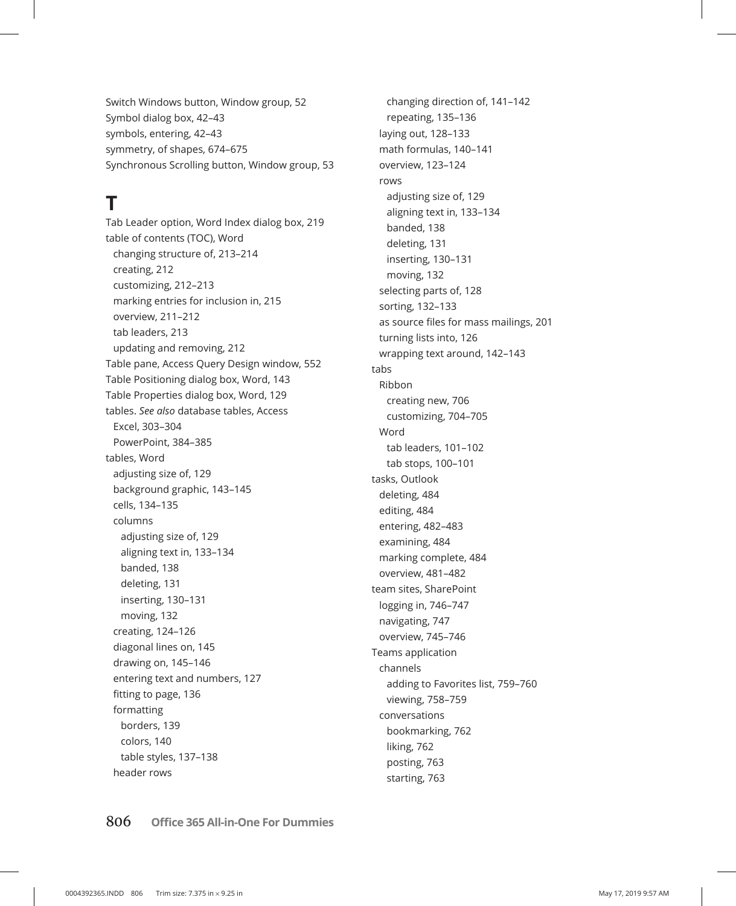Switch Windows button, Window group, 52 Symbol dialog box, 42–43 symbols, entering, 42–43 symmetry, of shapes, 674–675 Synchronous Scrolling button, Window group, 53

# **T**

Tab Leader option, Word Index dialog box, 219 table of contents (TOC), Word changing structure of, 213–214 creating, 212 customizing, 212–213 marking entries for inclusion in, 215 overview, 211–212 tab leaders, 213 updating and removing, 212 Table pane, Access Query Design window, 552 Table Positioning dialog box, Word, 143 Table Properties dialog box, Word, 129 tables. *See also* database tables, Access Excel, 303–304 PowerPoint, 384–385 tables, Word adjusting size of, 129 background graphic, 143–145 cells, 134–135 columns adjusting size of, 129 aligning text in, 133–134 banded, 138 deleting, 131 inserting, 130–131 moving, 132 creating, 124–126 diagonal lines on, 145 drawing on, 145–146 entering text and numbers, 127 fitting to page, 136 formatting borders, 139 colors, 140 table styles, 137–138 header rows

changing direction of, 141–142 repeating, 135–136 laying out, 128–133 math formulas, 140–141 overview, 123–124 rows adjusting size of, 129 aligning text in, 133–134 banded, 138 deleting, 131 inserting, 130–131 moving, 132 selecting parts of, 128 sorting, 132–133 as source files for mass mailings, 201 turning lists into, 126 wrapping text around, 142–143 tabs Ribbon creating new, 706 customizing, 704–705 Word tab leaders, 101–102 tab stops, 100–101 tasks, Outlook deleting, 484 editing, 484 entering, 482–483 examining, 484 marking complete, 484 overview, 481–482 team sites, SharePoint logging in, 746–747 navigating, 747 overview, 745–746 Teams application channels adding to Favorites list, 759–760 viewing, 758–759 conversations bookmarking, 762 liking, 762 posting, 763 starting, 763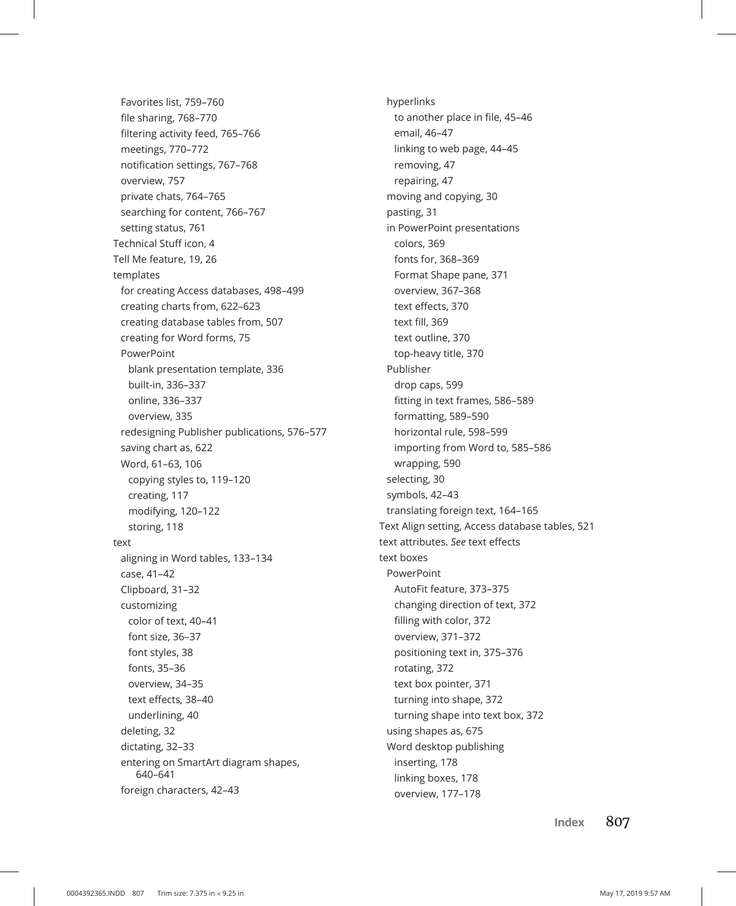Favorites list, 759–760 file sharing, 768–770 filtering activity feed, 765–766 meetings, 770–772 notification settings, 767–768 overview, 757 private chats, 764–765 searching for content, 766–767 setting status, 761 Technical Stuff icon, 4 Tell Me feature, 19, 26 templates for creating Access databases, 498–499 creating charts from, 622–623 creating database tables from, 507 creating for Word forms, 75 PowerPoint blank presentation template, 336 built-in, 336–337 online, 336–337 overview, 335 redesigning Publisher publications, 576–577 saving chart as, 622 Word, 61–63, 106 copying styles to, 119–120 creating, 117 modifying, 120–122 storing, 118 text aligning in Word tables, 133–134 case, 41–42 Clipboard, 31–32 customizing color of text, 40–41 font size, 36–37 font styles, 38 fonts, 35–36 overview, 34–35 text effects, 38–40 underlining, 40 deleting, 32 dictating, 32–33 entering on SmartArt diagram shapes, 640–641 foreign characters, 42–43

hyperlinks to another place in file, 45–46 email, 46–47 linking to web page, 44–45 removing, 47 repairing, 47 moving and copying, 30 pasting, 31 in PowerPoint presentations colors, 369 fonts for, 368–369 Format Shape pane, 371 overview, 367–368 text effects, 370 text fill, 369 text outline, 370 top-heavy title, 370 Publisher drop caps, 599 fitting in text frames, 586–589 formatting, 589–590 horizontal rule, 598–599 importing from Word to, 585–586 wrapping, 590 selecting, 30 symbols, 42–43 translating foreign text, 164–165 Text Align setting, Access database tables, 521 text attributes. *See* text effects text boxes PowerPoint AutoFit feature, 373–375 changing direction of text, 372 filling with color, 372 overview, 371–372 positioning text in, 375–376 rotating, 372 text box pointer, 371 turning into shape, 372 turning shape into text box, 372 using shapes as, 675 Word desktop publishing inserting, 178 linking boxes, 178 overview, 177–178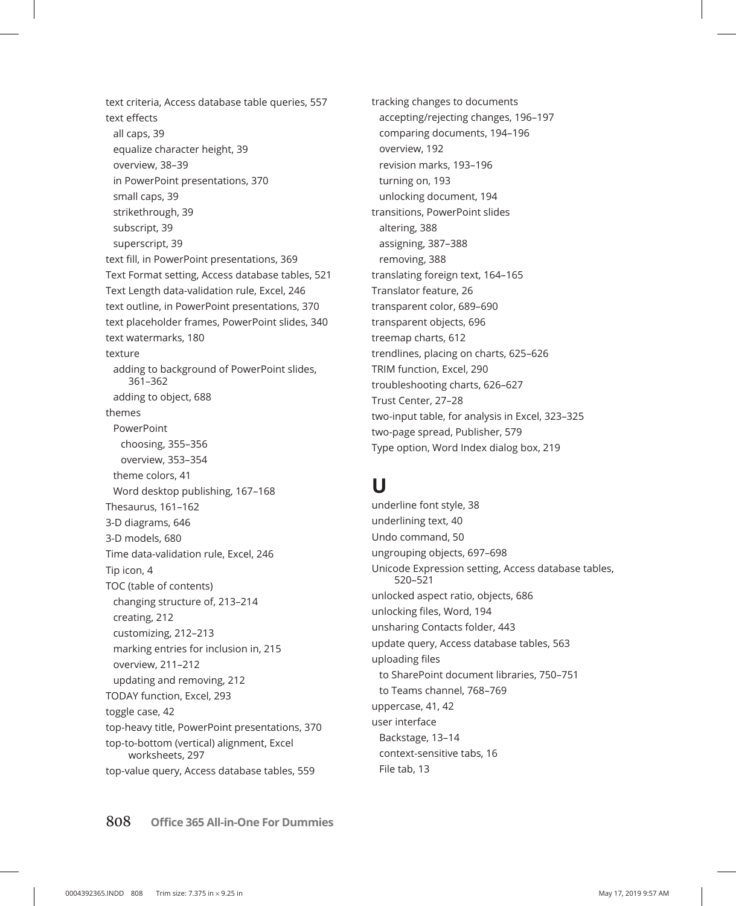text criteria, Access database table queries, 557 text effects all caps, 39 equalize character height, 39 overview, 38–39 in PowerPoint presentations, 370 small caps, 39 strikethrough, 39 subscript, 39 superscript, 39 text fill, in PowerPoint presentations, 369 Text Format setting, Access database tables, 521 Text Length data-validation rule, Excel, 246 text outline, in PowerPoint presentations, 370 text placeholder frames, PowerPoint slides, 340 text watermarks, 180 texture adding to background of PowerPoint slides, 361–362 adding to object, 688 themes PowerPoint choosing, 355–356 overview, 353–354 theme colors, 41 Word desktop publishing, 167–168 Thesaurus, 161–162 3-D diagrams, 646 3-D models, 680 Time data-validation rule, Excel, 246 Tip icon, 4 TOC (table of contents) changing structure of, 213–214 creating, 212 customizing, 212–213 marking entries for inclusion in, 215 overview, 211–212 updating and removing, 212 TODAY function, Excel, 293 toggle case, 42 top-heavy title, PowerPoint presentations, 370 top-to-bottom (vertical) alignment, Excel worksheets, 297 top-value query, Access database tables, 559

tracking changes to documents accepting/rejecting changes, 196–197 comparing documents, 194–196 overview, 192 revision marks, 193–196 turning on, 193 unlocking document, 194 transitions, PowerPoint slides altering, 388 assigning, 387–388 removing, 388 translating foreign text, 164–165 Translator feature, 26 transparent color, 689–690 transparent objects, 696 treemap charts, 612 trendlines, placing on charts, 625–626 TRIM function, Excel, 290 troubleshooting charts, 626–627 Trust Center, 27–28 two-input table, for analysis in Excel, 323–325 two-page spread, Publisher, 579 Type option, Word Index dialog box, 219

### **U**

underline font style, 38 underlining text, 40 Undo command, 50 ungrouping objects, 697–698 Unicode Expression setting, Access database tables, 520–521 unlocked aspect ratio, objects, 686 unlocking files, Word, 194 unsharing Contacts folder, 443 update query, Access database tables, 563 uploading files to SharePoint document libraries, 750–751 to Teams channel, 768–769 uppercase, 41, 42 user interface Backstage, 13–14 context-sensitive tabs, 16 File tab, 13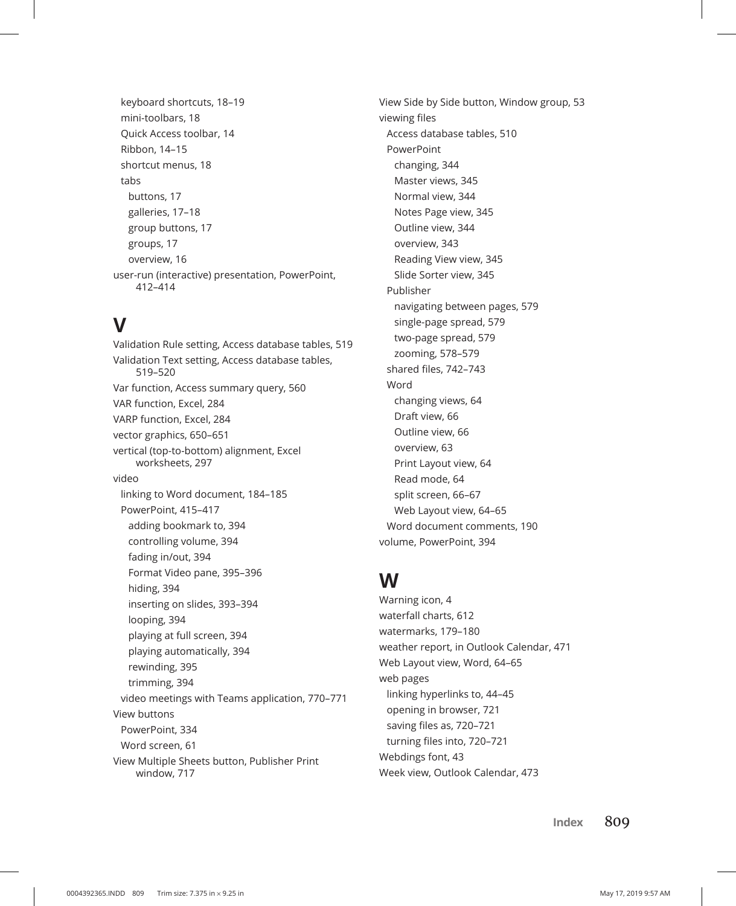keyboard shortcuts, 18–19 mini-toolbars, 18 Quick Access toolbar, 14 Ribbon, 14–15 shortcut menus, 18 tabs buttons, 17 galleries, 17–18 group buttons, 17 groups, 17 overview, 16 user-run (interactive) presentation, PowerPoint, 412–414

### **V**

Validation Rule setting, Access database tables, 519 Validation Text setting, Access database tables, 519–520 Var function, Access summary query, 560 VAR function, Excel, 284 VARP function, Excel, 284 vector graphics, 650–651 vertical (top-to-bottom) alignment, Excel worksheets, 297 video linking to Word document, 184–185 PowerPoint, 415–417 adding bookmark to, 394 controlling volume, 394 fading in/out, 394 Format Video pane, 395–396 hiding, 394 inserting on slides, 393–394 looping, 394 playing at full screen, 394 playing automatically, 394 rewinding, 395 trimming, 394 video meetings with Teams application, 770–771 View buttons PowerPoint, 334 Word screen, 61 View Multiple Sheets button, Publisher Print window, 717

View Side by Side button, Window group, 53 viewing files Access database tables, 510 PowerPoint changing, 344 Master views, 345 Normal view, 344 Notes Page view, 345 Outline view, 344 overview, 343 Reading View view, 345 Slide Sorter view, 345 Publisher navigating between pages, 579 single-page spread, 579 two-page spread, 579 zooming, 578–579 shared files, 742–743 Word changing views, 64 Draft view, 66 Outline view, 66 overview, 63 Print Layout view, 64 Read mode, 64 split screen, 66–67 Web Layout view, 64–65 Word document comments, 190 volume, PowerPoint, 394

# **W**

Warning icon, 4 waterfall charts, 612 watermarks, 179–180 weather report, in Outlook Calendar, 471 Web Layout view, Word, 64–65 web pages linking hyperlinks to, 44–45 opening in browser, 721 saving files as, 720–721 turning files into, 720–721 Webdings font, 43 Week view, Outlook Calendar, 473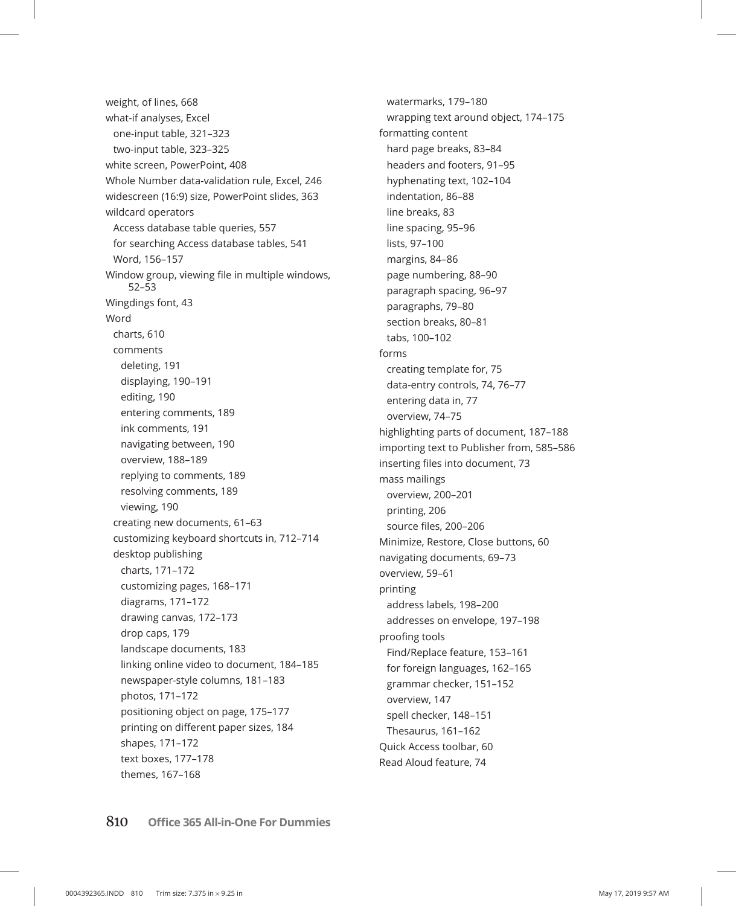weight, of lines, 668 what-if analyses, Excel one-input table, 321–323 two-input table, 323–325 white screen, PowerPoint, 408 Whole Number data-validation rule, Excel, 246 widescreen (16:9) size, PowerPoint slides, 363 wildcard operators Access database table queries, 557 for searching Access database tables, 541 Word, 156–157 Window group, viewing file in multiple windows, 52–53 Wingdings font, 43 Word charts, 610 comments deleting, 191 displaying, 190–191 editing, 190 entering comments, 189 ink comments, 191 navigating between, 190 overview, 188–189 replying to comments, 189 resolving comments, 189 viewing, 190 creating new documents, 61–63 customizing keyboard shortcuts in, 712–714 desktop publishing charts, 171–172 customizing pages, 168–171 diagrams, 171–172 drawing canvas, 172–173 drop caps, 179 landscape documents, 183 linking online video to document, 184–185 newspaper-style columns, 181–183 photos, 171–172 positioning object on page, 175–177 printing on different paper sizes, 184 shapes, 171–172 text boxes, 177–178 themes, 167–168

watermarks, 179–180 wrapping text around object, 174–175 formatting content hard page breaks, 83–84 headers and footers, 91–95 hyphenating text, 102–104 indentation, 86–88 line breaks, 83 line spacing, 95–96 lists, 97–100 margins, 84–86 page numbering, 88–90 paragraph spacing, 96–97 paragraphs, 79–80 section breaks, 80–81 tabs, 100–102 forms creating template for, 75 data-entry controls, 74, 76–77 entering data in, 77 overview, 74–75 highlighting parts of document, 187–188 importing text to Publisher from, 585–586 inserting files into document, 73 mass mailings overview, 200–201 printing, 206 source files, 200–206 Minimize, Restore, Close buttons, 60 navigating documents, 69–73 overview, 59–61 printing address labels, 198–200 addresses on envelope, 197–198 proofing tools Find/Replace feature, 153–161 for foreign languages, 162–165 grammar checker, 151–152 overview, 147 spell checker, 148–151 Thesaurus, 161–162 Quick Access toolbar, 60 Read Aloud feature, 74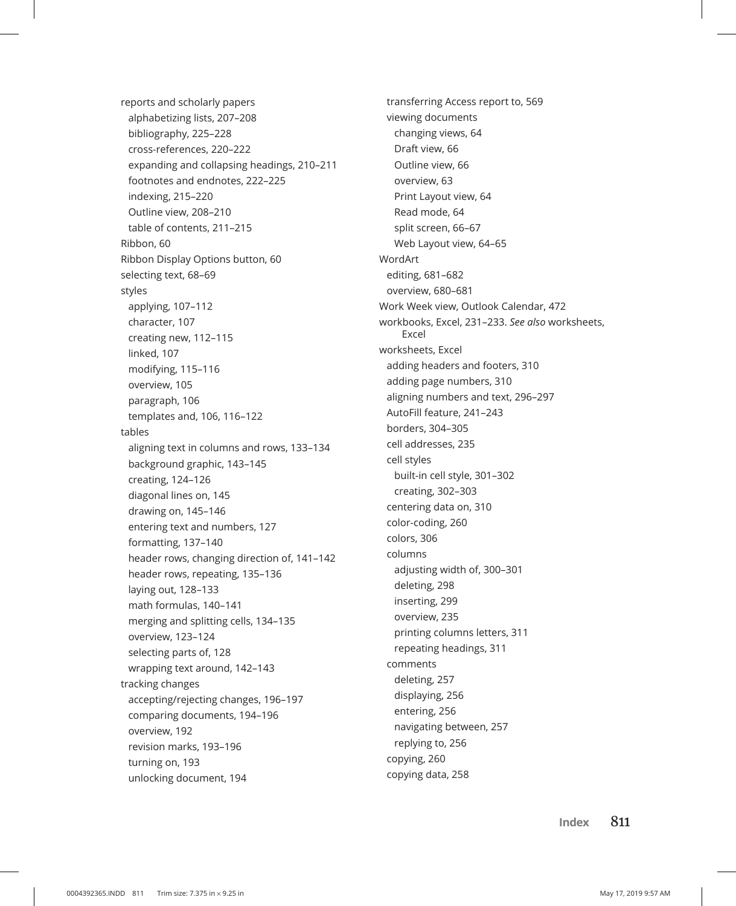reports and scholarly papers alphabetizing lists, 207–208 bibliography, 225–228 cross-references, 220–222 expanding and collapsing headings, 210–211 footnotes and endnotes, 222–225 indexing, 215–220 Outline view, 208–210 table of contents, 211–215 Ribbon, 60 Ribbon Display Options button, 60 selecting text, 68–69 styles applying, 107–112 character, 107 creating new, 112–115 linked, 107 modifying, 115–116 overview, 105 paragraph, 106 templates and, 106, 116–122 tables aligning text in columns and rows, 133–134 background graphic, 143–145 creating, 124–126 diagonal lines on, 145 drawing on, 145–146 entering text and numbers, 127 formatting, 137–140 header rows, changing direction of, 141–142 header rows, repeating, 135–136 laying out, 128–133 math formulas, 140–141 merging and splitting cells, 134–135 overview, 123–124 selecting parts of, 128 wrapping text around, 142–143 tracking changes accepting/rejecting changes, 196–197 comparing documents, 194–196 overview, 192 revision marks, 193–196 turning on, 193 unlocking document, 194

transferring Access report to, 569 viewing documents changing views, 64 Draft view, 66 Outline view, 66 overview, 63 Print Layout view, 64 Read mode, 64 split screen, 66–67 Web Layout view, 64–65 WordArt editing, 681–682 overview, 680–681 Work Week view, Outlook Calendar, 472 workbooks, Excel, 231–233. *See also* worksheets, Excel worksheets, Excel adding headers and footers, 310 adding page numbers, 310 aligning numbers and text, 296–297 AutoFill feature, 241–243 borders, 304–305 cell addresses, 235 cell styles built-in cell style, 301–302 creating, 302–303 centering data on, 310 color-coding, 260 colors, 306 columns adjusting width of, 300–301 deleting, 298 inserting, 299 overview, 235 printing columns letters, 311 repeating headings, 311 comments deleting, 257 displaying, 256 entering, 256 navigating between, 257 replying to, 256 copying, 260 copying data, 258